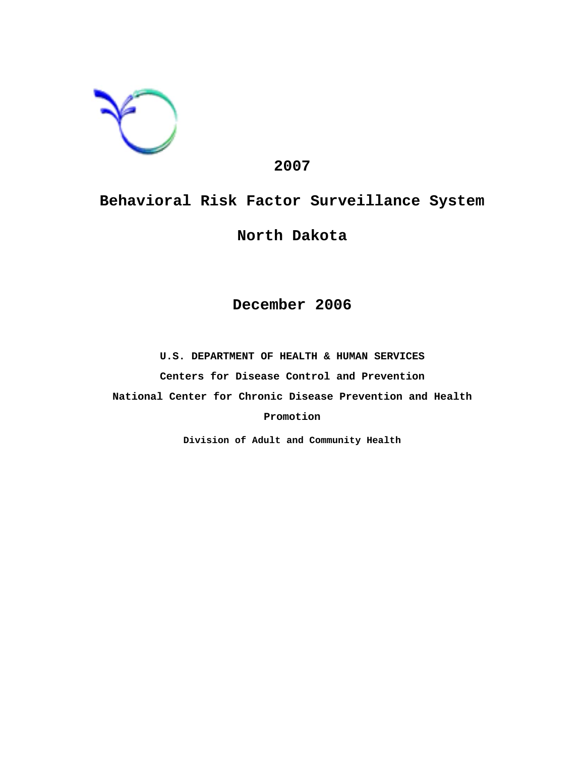

# **2007**

# **Behavioral Risk Factor Surveillance System**

# **North Dakota**

# **December 2006**

**U.S. DEPARTMENT OF HEALTH & HUMAN SERVICES Centers for Disease Control and Prevention National Center for Chronic Disease Prevention and Health Promotion**

**Division of Adult and Community Health**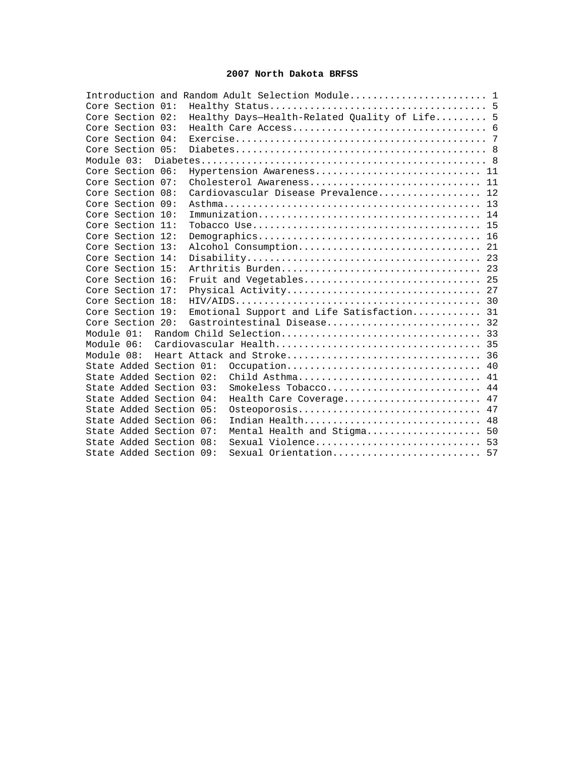### **2007 North Dakota BRFSS**

|                         |  | Introduction and Random Adult Selection Module 1 |  |
|-------------------------|--|--------------------------------------------------|--|
| Core Section 01:        |  |                                                  |  |
| Core Section 02:        |  | Healthy Days-Health-Related Quality of Life 5    |  |
| Core Section 03:        |  |                                                  |  |
| Core Section 04:        |  |                                                  |  |
| Core Section 05:        |  |                                                  |  |
|                         |  |                                                  |  |
| Core Section 06:        |  | Hypertension Awareness 11                        |  |
| Core Section 07:        |  | Cholesterol Awareness 11                         |  |
| Core Section 08:        |  | Cardiovascular Disease Prevalence 12             |  |
| Core Section 09:        |  |                                                  |  |
| Core Section 10:        |  |                                                  |  |
| Core Section 11:        |  |                                                  |  |
| Core Section 12:        |  |                                                  |  |
| Core Section 13:        |  |                                                  |  |
| Core Section 14:        |  |                                                  |  |
| Core Section 15:        |  | Arthritis Burden 23                              |  |
| Core Section 16:        |  | Fruit and Vegetables 25                          |  |
| Core Section 17:        |  |                                                  |  |
| Core Section 18:        |  |                                                  |  |
| Core Section 19:        |  | Emotional Support and Life Satisfaction 31       |  |
| Core Section 20:        |  | Gastrointestinal Disease 32                      |  |
| Module 01:              |  |                                                  |  |
| Module 06:              |  |                                                  |  |
|                         |  |                                                  |  |
| State Added Section 01: |  | Occupation 40                                    |  |
| State Added Section 02: |  | Child Asthma 41                                  |  |
| State Added Section 03: |  | Smokeless Tobacco 44                             |  |
| State Added Section 04: |  | Health Care Coverage 47                          |  |
| State Added Section 05: |  | Osteoporosis 47                                  |  |
| State Added Section 06: |  | Indian Health 48                                 |  |
| State Added Section 07: |  | Mental Health and Stigma 50                      |  |
| State Added Section 08: |  | Sexual Violence 53                               |  |
| State Added Section 09: |  | Sexual Orientation 57                            |  |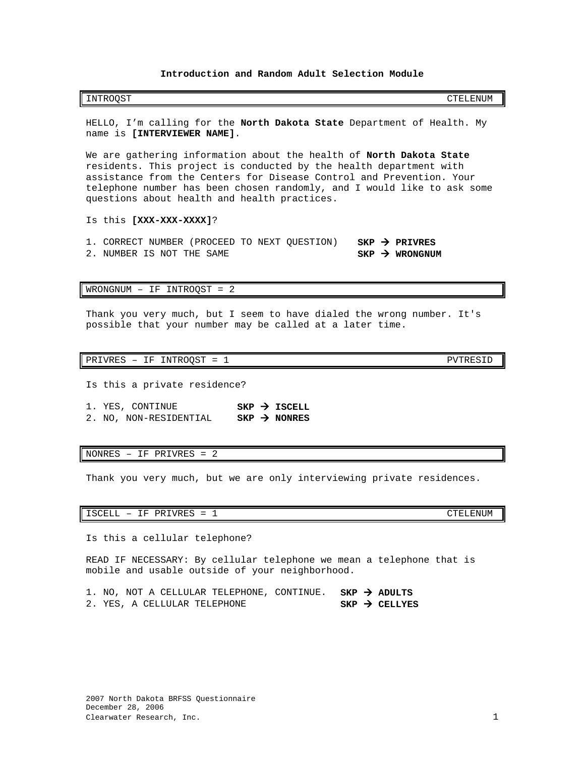### **Introduction and Random Adult Selection Module**

<span id="page-2-0"></span>HELLO, I'm calling for the **North Dakota State** Department of Health. My name is **[INTERVIEWER NAME]**.

We are gathering information about the health of **North Dakota State** residents. This project is conducted by the health department with assistance from the Centers for Disease Control and Prevention. Your telephone number has been chosen randomly, and I would like to ask some questions about health and health practices.

Is this **[XXX-XXX-XXXX]**?

1. CORRECT NUMBER (PROCEED TO NEXT QUESTION) **SKP > PRIVRES**<br>2. NUMBER IS NOT THE SAME 2. NUMBER IS NOT THE SAME

WRONGNUM – IF INTROQST = 2

Thank you very much, but I seem to have dialed the wrong number. It's possible that your number may be called at a later time.

PRIVRES - IF INTROQST = 1 PVTRESID

Is this a private residence?

1. YES, CONTINUE **SKP > ISCELL**<br>2. NO, NON-RESIDENTIAL **SKP > NONRES** 2. NO, NON-RESIDENTIAL

NONRES – IF PRIVRES = 2

Thank you very much, but we are only interviewing private residences.

ISCELL - IF PRIVRES = 1 CTELENUM

Is this a cellular telephone?

READ IF NECESSARY: By cellular telephone we mean a telephone that is mobile and usable outside of your neighborhood.

1. NO, NOT A CELLULAR TELEPHONE, CONTINUE. **SKP > ADULTS**<br>2. YES, A CELLULAR TELEPHONE **SKP > CELLYES** 2. YES, A CELLULAR TELEPHONE **SKP CELLYES**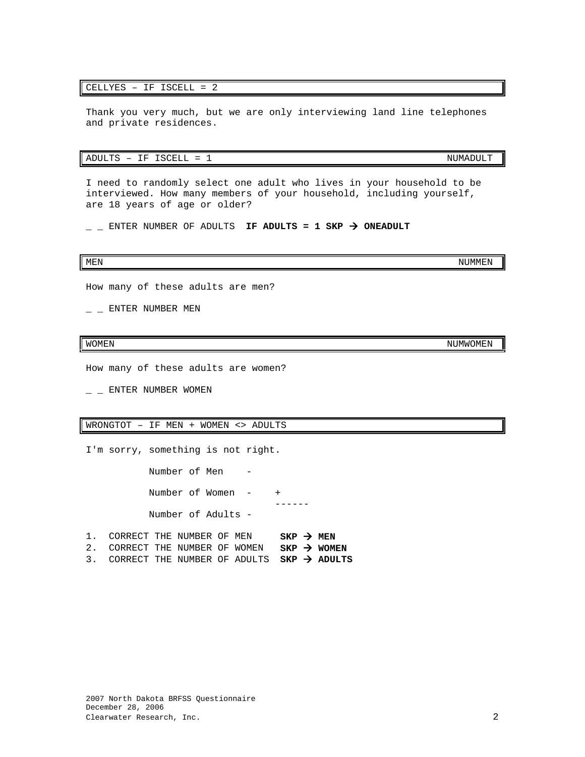### CELLYES – IF ISCELL = 2

Thank you very much, but we are only interviewing land line telephones and private residences.

### $ADULTS - IF ISCELL = 1$  NUMADULT

I need to randomly select one adult who lives in your household to be interviewed. How many members of your household, including yourself, are 18 years of age or older?

 $\angle$  \_ ENTER NUMBER OF ADULTS **IF ADULTS = 1 SKP**  $\rightarrow$  **ONEADULT** 

### MEN NUMMEN AND A SERIES OF THE SERIES OF THE SERIES OF THE SERIES OF THE SERIES OF THE SERIES OF THE SERIES OF

How many of these adults are men?

 $-$  ENTER NUMBER MEN

How many of these adults are women?

 $-$  ENTER NUMBER WOMEN

### WRONGTOT – IF MEN + WOMEN <> ADULTS

I'm sorry, something is not right.

 Number of Men - Number of Women  $+$  ------ Number of Adults -

| 1. CORRECT THE NUMBER OF MEN                             |  |  | $SKP \rightarrow MEN$ |  |
|----------------------------------------------------------|--|--|-----------------------|--|
| 2. CORRECT THE NUMBER OF WOMEN SKP $\rightarrow$ WOMEN   |  |  |                       |  |
| 3. CORRECT THE NUMBER OF ADULTS $SKP \rightarrow ADULTS$ |  |  |                       |  |

WOMEN NUMWOMEN AND THE SERVICE OF THE SERVICE OF THE SERVICE OF THE SERVICE OF THE SERVICE OF THE SERVICE OF T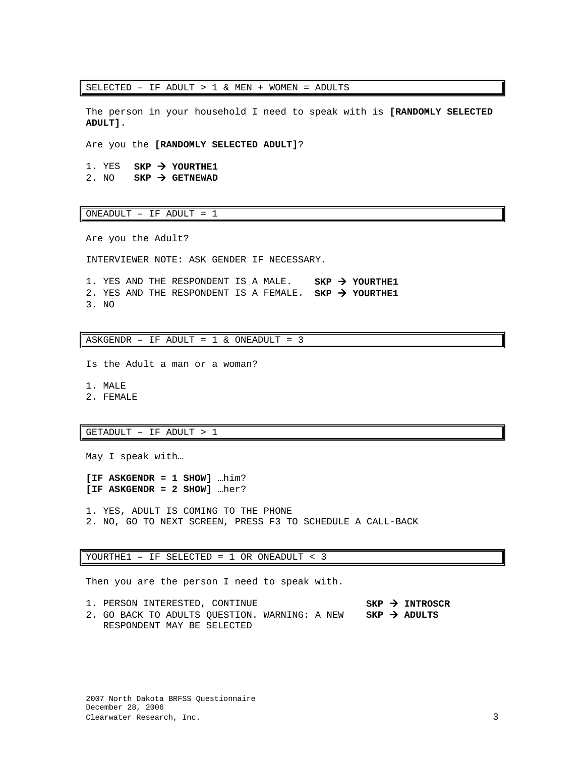SELECTED – IF ADULT > 1 & MEN + WOMEN = ADULTS

The person in your household I need to speak with is **[RANDOMLY SELECTED ADULT]**.

Are you the **[RANDOMLY SELECTED ADULT]**?

1. YES **SKP > YOURTHE1**<br>2. NO **SKP > GETNEWAD**  $SKP \rightarrow$  GETNEWAD

ONEADULT – IF ADULT = 1

Are you the Adult?

INTERVIEWER NOTE: ASK GENDER IF NECESSARY.

1. YES AND THE RESPONDENT IS A MALE. **SKP YOURTHE1** 2. YES AND THE RESPONDENT IS A FEMALE. **SKP YOURTHE1** 3. NO

ASKGENDR - IF ADULT =  $1 \&$  ONEADULT =  $3$ 

Is the Adult a man or a woman?

1. MALE

2. FEMALE

### GETADULT – IF ADULT > 1

May I speak with…

**[IF ASKGENDR = 1 SHOW]** …him? **[IF ASKGENDR = 2 SHOW]** …her?

1. YES, ADULT IS COMING TO THE PHONE 2. NO, GO TO NEXT SCREEN, PRESS F3 TO SCHEDULE A CALL-BACK

### YOURTHE1 – IF SELECTED = 1 OR ONEADULT < 3

Then you are the person I need to speak with.

1. PERSON INTERESTED, CONTINUE **SKP INTROSCR** 2. GO BACK TO ADULTS QUESTION. WARNING: A NEW RESPONDENT MAY BE SELECTED **SKP ADULTS**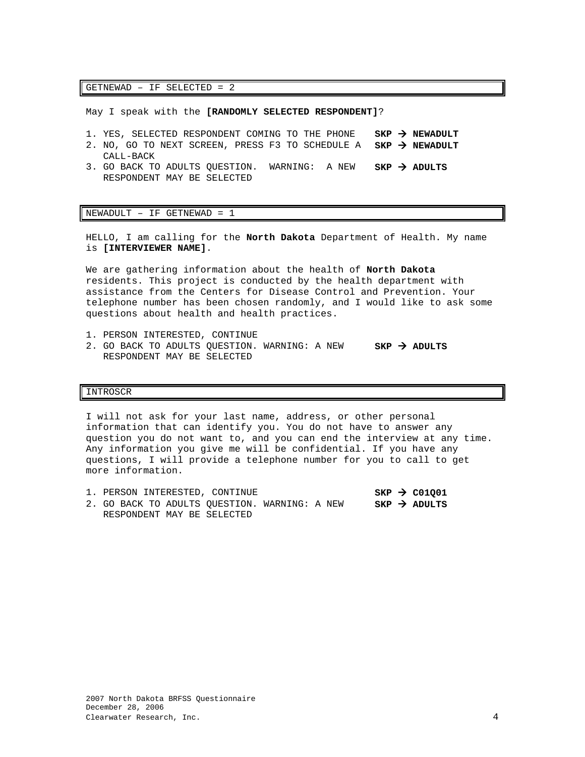GETNEWAD – IF SELECTED = 2

May I speak with the **[RANDOMLY SELECTED RESPONDENT]**?

- 1. YES, SELECTED RESPONDENT COMING TO THE PHONE **SKP NEWADULT**
- 2. NO, GO TO NEXT SCREEN, PRESS F3 TO SCHEDULE A **SKP NEWADULT** CALL-BACK
- 3. GO BACK TO ADULTS QUESTION. WARNING: A NEW RESPONDENT MAY BE SELECTED  $SKP$   $\rightarrow$  ADULTS

### $NEWADULT - IF GETNEWAD = 1$

HELLO, I am calling for the **North Dakota** Department of Health. My name is **[INTERVIEWER NAME]**.

We are gathering information about the health of **North Dakota**  residents. This project is conducted by the health department with assistance from the Centers for Disease Control and Prevention. Your telephone number has been chosen randomly, and I would like to ask some questions about health and health practices.

- 1. PERSON INTERESTED, CONTINUE
- 2. GO BACK TO ADULTS QUESTION. WARNING: A NEW **SKP ADULTS** RESPONDENT MAY BE SELECTED

### INTROSCR

I will not ask for your last name, address, or other personal information that can identify you. You do not have to answer any question you do not want to, and you can end the interview at any time. Any information you give me will be confidential. If you have any questions, I will provide a telephone number for you to call to get more information.

|  |  | 1. PERSON INTERESTED, CONTINUE                |  |  | $SKP \rightarrow CO1001$ |
|--|--|-----------------------------------------------|--|--|--------------------------|
|  |  | 2. GO BACK TO ADULTS OUESTION. WARNING: A NEW |  |  | $SKP \rightarrow ADULTS$ |
|  |  | RESPONDENT MAY BE SELECTED                    |  |  |                          |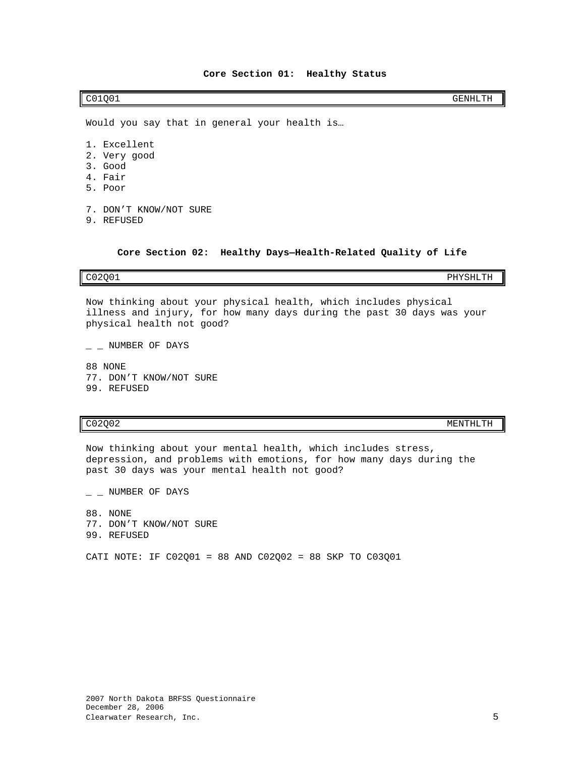<span id="page-6-0"></span>C01Q01 GENHLTH

Would you say that in general your health is…

- 1. Excellent
- 2. Very good
- 3. Good
- 4. Fair
- 5. Poor
- 7. DON'T KNOW/NOT SURE
- 9. REFUSED

**Core Section 02: Healthy Days—Health-Related Quality of Life**

<span id="page-6-1"></span>C02Q01 PHYSHLTH

Now thinking about your physical health, which includes physical illness and injury, for how many days during the past 30 days was your physical health not good?

 $-$  NUMBER OF DAYS

88 NONE 77. DON'T KNOW/NOT SURE 99. REFUSED

C02Q02 MENTHLTH

Now thinking about your mental health, which includes stress, depression, and problems with emotions, for how many days during the past 30 days was your mental health not good?

 $-$  NUMBER OF DAYS

88. NONE 77. DON'T KNOW/NOT SURE 99. REFUSED

CATI NOTE: IF C02Q01 = 88 AND C02Q02 = 88 SKP TO C03Q01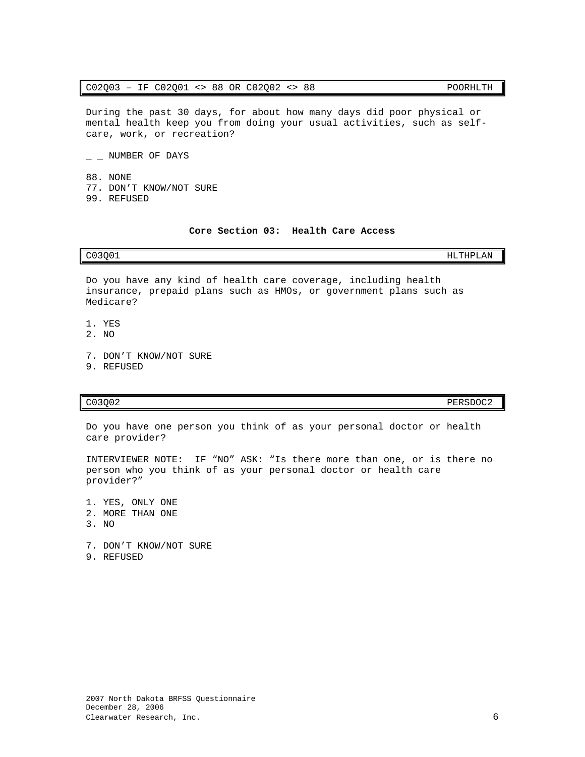### C02Q03 – IF C02Q01 <> 88 OR C02Q02 <> 88 POORHLTH

During the past 30 days, for about how many days did poor physical or mental health keep you from doing your usual activities, such as selfcare, work, or recreation?

 $-$  NUMBER OF DAYS

88. NONE 77. DON'T KNOW/NOT SURE 99. REFUSED

### **Core Section 03: Health Care Access**

### <span id="page-7-0"></span>C03Q01 HLTHPLAN

Do you have any kind of health care coverage, including health insurance, prepaid plans such as HMOs, or government plans such as Medicare?

- 1. YES
- 2. NO
- 7. DON'T KNOW/NOT SURE
- 9. REFUSED

Do you have one person you think of as your personal doctor or health care provider?

INTERVIEWER NOTE: IF "NO" ASK: "Is there more than one, or is there no person who you think of as your personal doctor or health care provider?"

1. YES, ONLY ONE 2. MORE THAN ONE 3. NO

7. DON'T KNOW/NOT SURE

9. REFUSED

C03Q02 PERSDOC2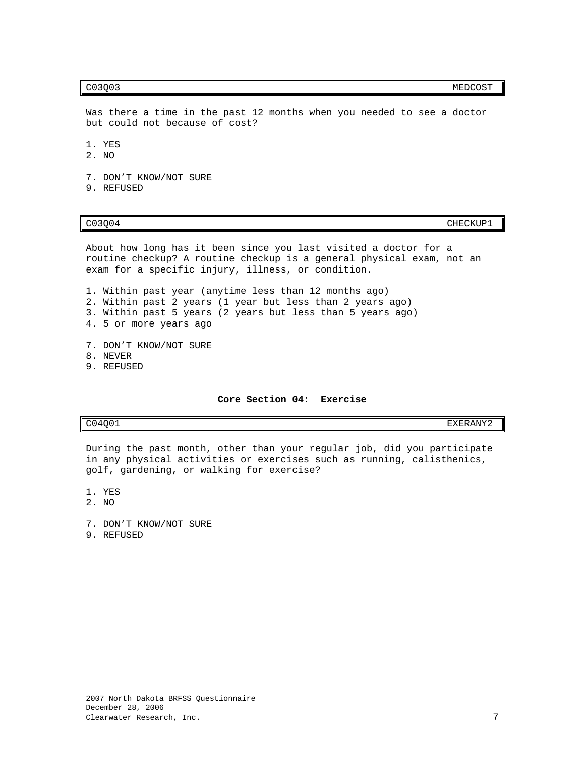### c03Q03 MEDCOST

Was there a time in the past 12 months when you needed to see a doctor but could not because of cost?

- 1. YES
- 2. NO
- 7. DON'T KNOW/NOT SURE
- 9. REFUSED

CO3Q04 CHECKUP1

About how long has it been since you last visited a doctor for a routine checkup? A routine checkup is a general physical exam, not an exam for a specific injury, illness, or condition.

1. Within past year (anytime less than 12 months ago) 2. Within past 2 years (1 year but less than 2 years ago) 3. Within past 5 years (2 years but less than 5 years ago) 4. 5 or more years ago

- 7. DON'T KNOW/NOT SURE
- 8. NEVER
- 9. REFUSED

### **Core Section 04: Exercise**

<span id="page-8-0"></span>C04Q01 EXERANY2

During the past month, other than your regular job, did you participate in any physical activities or exercises such as running, calisthenics, golf, gardening, or walking for exercise?

1. YES

- 2. NO
- 7. DON'T KNOW/NOT SURE
- 9. REFUSED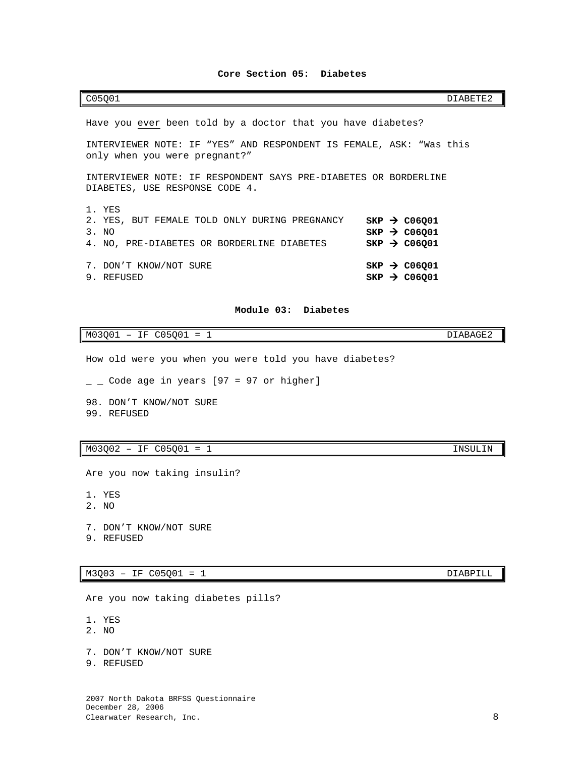### **Core Section 05: Diabetes**

<span id="page-9-0"></span>C05Q01 DIABETE2

| Have you ever been told by a doctor that you have diabetes?                                                    |                                                                                  |  |  |  |  |  |
|----------------------------------------------------------------------------------------------------------------|----------------------------------------------------------------------------------|--|--|--|--|--|
| INTERVIEWER NOTE: IF "YES" AND RESPONDENT IS FEMALE, ASK: "Was this<br>only when you were pregnant?"           |                                                                                  |  |  |  |  |  |
| INTERVIEWER NOTE: IF RESPONDENT SAYS PRE-DIABETES OR BORDERLINE<br>DIABETES, USE RESPONSE CODE 4.              |                                                                                  |  |  |  |  |  |
| 1. YES<br>2. YES, BUT FEMALE TOLD ONLY DURING PREGNANCY<br>3. NO<br>4. NO, PRE-DIABETES OR BORDERLINE DIABETES | $SKP \rightarrow CO6Q01$<br>$SKP \rightarrow CO6001$<br>$SKP \rightarrow CO6001$ |  |  |  |  |  |
| 7. DON'T KNOW/NOT SURE<br>9. REFUSED                                                                           | $SKP \rightarrow CO6Q01$<br>$SKP \rightarrow CO6001$                             |  |  |  |  |  |

### **Module 03: Diabetes**

<span id="page-9-1"></span>M03Q01 – IF C05Q01 = 1 DIABAGE2

How old were you when you were told you have diabetes?

- $\_$  Code age in years [97 = 97 or higher]
- 98. DON'T KNOW/NOT SURE 99. REFUSED

# M03Q02 - IF C05Q01 = 1 INSULIN

Are you now taking insulin?

- 1. YES
- 2. NO
- 7. DON'T KNOW/NOT SURE
- 9. REFUSED

### M3Q03 – IF C05Q01 = 1 DIABPILL

Are you now taking diabetes pills?

- 1. YES
- 2. NO
- 7. DON'T KNOW/NOT SURE
- 9. REFUSED

2007 North Dakota BRFSS Questionnaire December 28, 2006 Clearwater Research, Inc. 8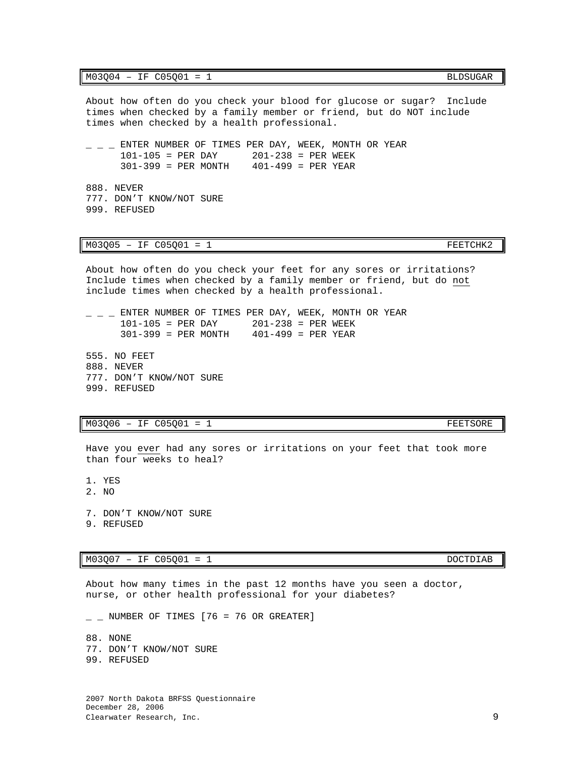$M03Q04 - IF C05Q01 = 1$  BLDSUGAR

About how often do you check your blood for glucose or sugar? Include times when checked by a family member or friend, but do NOT include times when checked by a health professional.

 $-$  ENTER NUMBER OF TIMES PER DAY, WEEK, MONTH OR YEAR  $101-105$  = PER DAY  $201-238$  = PER WEEK  $201-238 = PER WEEK$ <br> $401-499 = PER YEAR$  $301-399$  = PER MONTH

888. NEVER 777. DON'T KNOW/NOT SURE 999. REFUSED

### $M03Q05$  – IF  $CO5Q01$  = 1

About how often do you check your feet for any sores or irritations? Include times when checked by a family member or friend, but do not include times when checked by a health professional.

 $-$  ENTER NUMBER OF TIMES PER DAY, WEEK, MONTH OR YEAR  $101-105$  = PER DAY  $201-238$  = PER WEEK  $201-238 = PER WEEK$ <br> $401-499 = PER YEAR$  $301-399$  = PER MONTH

555. NO FEET 888. NEVER 777. DON'T KNOW/NOT SURE 999. REFUSED

### $M03Q06 - IF C05Q01 = 1$  FEETSORE

Have you ever had any sores or irritations on your feet that took more than four weeks to heal?

1. YES

2. NO

7. DON'T KNOW/NOT SURE

9. REFUSED

### $M03Q07 - IF C05Q01 = 1$  DOCTDIAB

About how many times in the past 12 months have you seen a doctor, nurse, or other health professional for your diabetes?

 $\_$  NUMBER OF TIMES [76 = 76 OR GREATER]

88. NONE 77. DON'T KNOW/NOT SURE 99. REFUSED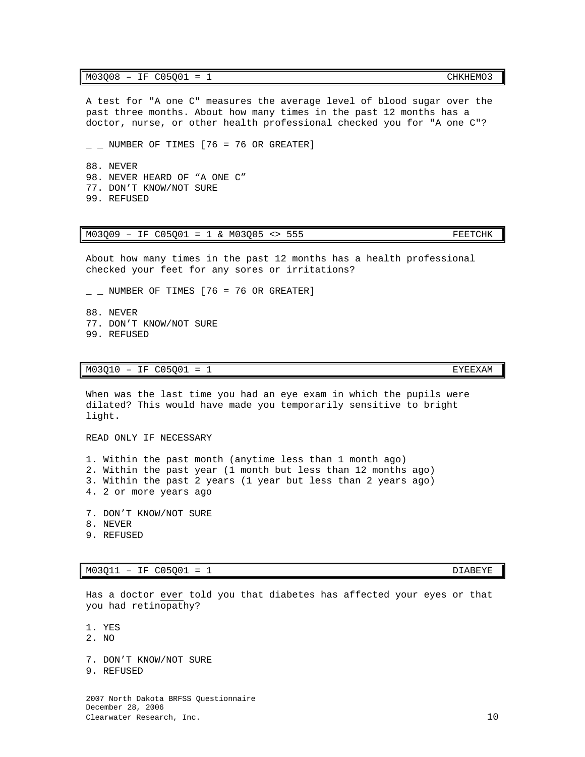### M03Q08 - IF C05Q01 = 1 CHKHEMO3

A test for "A one C" measures the average level of blood sugar over the past three months. About how many times in the past 12 months has a doctor, nurse, or other health professional checked you for "A one C"?

 $\_$  NUMBER OF TIMES [76 = 76 OR GREATER]

88. NEVER 98. NEVER HEARD OF "A ONE C" 77. DON'T KNOW/NOT SURE 99. REFUSED

### M03Q09 - IF C05Q01 = 1 & M03Q05 <> 555 FEETCHK

About how many times in the past 12 months has a health professional checked your feet for any sores or irritations?

 $\_$  NUMBER OF TIMES [76 = 76 OR GREATER]

88. NEVER 77. DON'T KNOW/NOT SURE 99. REFUSED

### M03Q10 - IF C05Q01 = 1

When was the last time you had an eye exam in which the pupils were dilated? This would have made you temporarily sensitive to bright light.

READ ONLY IF NECESSARY

1. Within the past month (anytime less than 1 month ago) 2. Within the past year (1 month but less than 12 months ago) 3. Within the past 2 years (1 year but less than 2 years ago) 4. 2 or more years ago

- 7. DON'T KNOW/NOT SURE
- 8. NEVER
- 9. REFUSED

M03Q11 - IF C05Q01 = 1

Has a doctor ever told you that diabetes has affected your eyes or that you had retinopathy?

1. YES

- 2. NO
- 7. DON'T KNOW/NOT SURE
- 9. REFUSED

2007 North Dakota BRFSS Questionnaire December 28, 2006 Clearwater Research, Inc. 10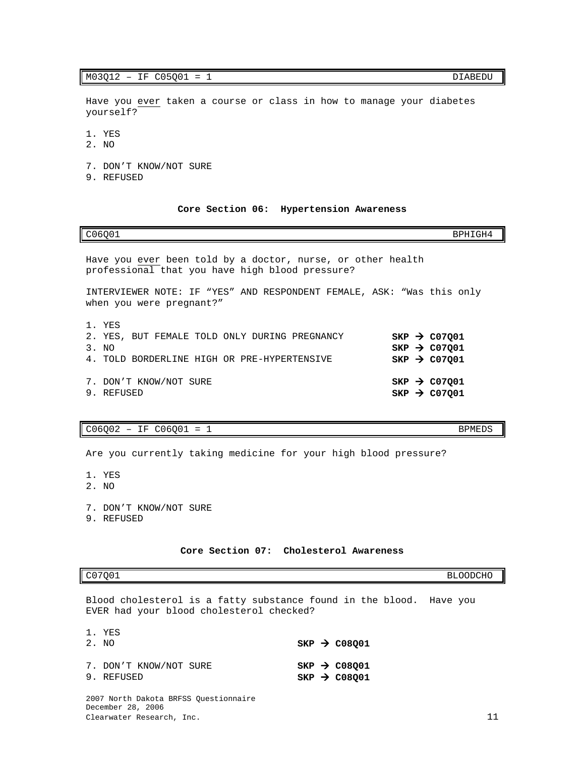### $M03Q12 - IF C05Q01 = 1$  DIABEDU

Have you ever taken a course or class in how to manage your diabetes yourself?

- 1. YES
- 2. NO
- 7. DON'T KNOW/NOT SURE
- 9. REFUSED

### **Core Section 06: Hypertension Awareness**

<span id="page-12-0"></span>

| C06001                                                                                                          | BPHTGH4                                                                            |
|-----------------------------------------------------------------------------------------------------------------|------------------------------------------------------------------------------------|
| Have you ever been told by a doctor, nurse, or other health<br>professional that you have high blood pressure?  |                                                                                    |
| INTERVIEWER NOTE: IF "YES" AND RESPONDENT FEMALE, ASK: "Was this only<br>when you were pregnant?"               |                                                                                    |
| 1. YES<br>2. YES, BUT FEMALE TOLD ONLY DURING PREGNANCY<br>3. NO<br>4. TOLD BORDERLINE HIGH OR PRE-HYPERTENSIVE | $SKP \rightarrow CO7Q01$<br>$SKP$ $\rightarrow$ C07001<br>$SKP \rightarrow CO7001$ |
| 7. DON'T KNOW/NOT SURE<br>9. REFUSED                                                                            | $SKP \rightarrow CO7001$<br>$SKP \rightarrow CO7001$                               |

# $C06Q02 - IF C06Q01 = 1$  BPMEDS

Are you currently taking medicine for your high blood pressure?

- 1. YES
- 2. NO
- 7. DON'T KNOW/NOT SURE
- 9. REFUSED

### **Core Section 07: Cholesterol Awareness**

# <span id="page-12-1"></span>C07Q01 BLOODCHO

Blood cholesterol is a fatty substance found in the blood. Have you EVER had your blood cholesterol checked?

| 1. YES<br>2. NO                                                                         | $SKP \rightarrow CO8001$                               |  |
|-----------------------------------------------------------------------------------------|--------------------------------------------------------|--|
| 7. DON'T KNOW/NOT SURE<br>9. REFUSED                                                    | $SKP$ $\rightarrow$ C08001<br>$SKP \rightarrow CO8001$ |  |
| 2007 North Dakota BRFSS Questionnaire<br>December 28, 2006<br>Clearwater Research, Inc. |                                                        |  |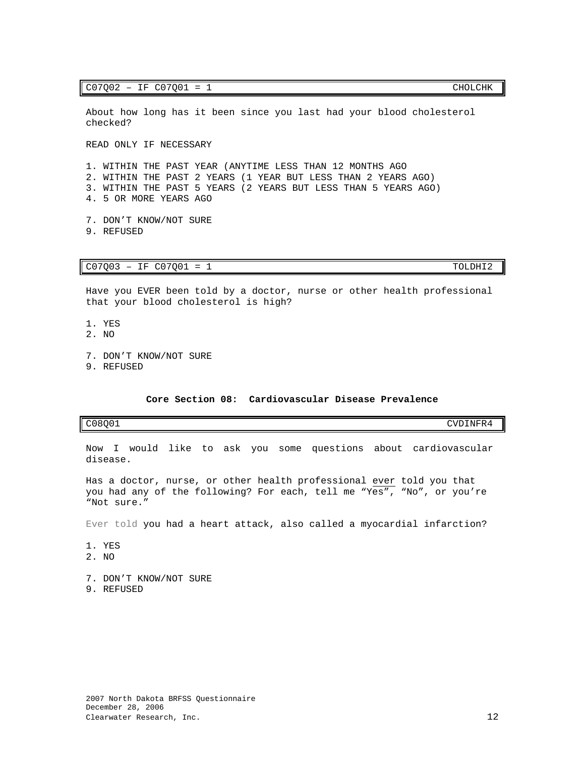### $C07Q02 - IF C07Q01 = 1$  CHOLCHK

About how long has it been since you last had your blood cholesterol checked?

READ ONLY IF NECESSARY

1. WITHIN THE PAST YEAR (ANYTIME LESS THAN 12 MONTHS AGO 2. WITHIN THE PAST 2 YEARS (1 YEAR BUT LESS THAN 2 YEARS AGO) 3. WITHIN THE PAST 5 YEARS (2 YEARS BUT LESS THAN 5 YEARS AGO) 4. 5 OR MORE YEARS AGO

7. DON'T KNOW/NOT SURE 9. REFUSED

### $C07Q03 - IF C07Q01 = 1$  TOLDHI2

Have you EVER been told by a doctor, nurse or other health professional that your blood cholesterol is high?

- 1. YES
- 2. NO
- 7. DON'T KNOW/NOT SURE
- 9. REFUSED

### **Core Section 08: Cardiovascular Disease Prevalence**

### <span id="page-13-0"></span>C08Q01 CVDINFR4

Now I would like to ask you some questions about cardiovascular disease.

Has a doctor, nurse, or other health professional ever told you that you had any of the following? For each, tell me "Yes", "No", or you're "Not sure."

Ever told you had a heart attack, also called a myocardial infarction?

- 1. YES
- 2. NO
- 7. DON'T KNOW/NOT SURE
- 9. REFUSED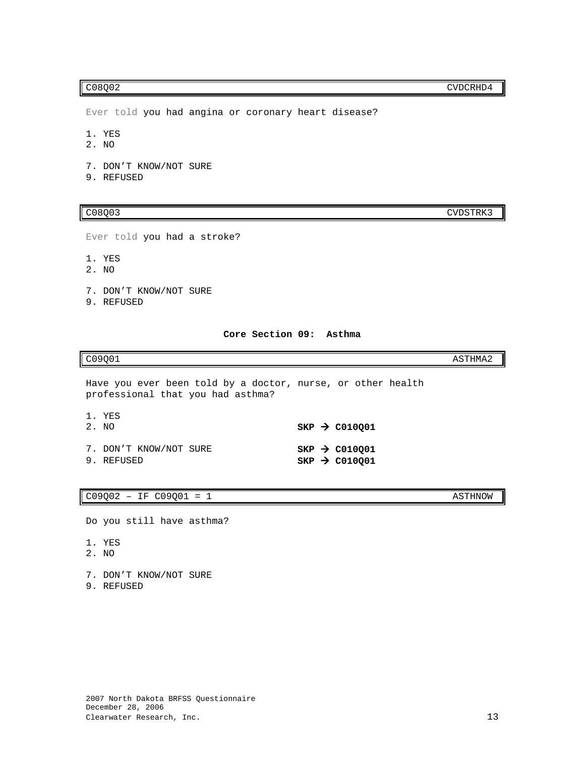Ever told you had angina or coronary heart disease?

1. YES

- 2. NO
- 7. DON'T KNOW/NOT SURE
- 9. REFUSED

C08Q03 CVDSTRK3

Ever told you had a stroke?

- 1. YES
- 2. NO
- 7. DON'T KNOW/NOT SURE
- 9. REFUSED

### **Core Section 09: Asthma**

# <span id="page-14-0"></span> $CO9Q01$  as a set of  $C09Q01$

Have you ever been told by a doctor, nurse, or other health professional that you had asthma?

| 1. YES                 |  |                           |
|------------------------|--|---------------------------|
| 2. NO                  |  | $SKP \rightarrow CO10001$ |
| 7. DON'T KNOW/NOT SURE |  | $SKP \rightarrow CO10001$ |
| 9. REFUSED             |  | $SKP \rightarrow CO10Q01$ |

### $C09Q02 - IF C09Q01 = 1$  ASTHNOW

Do you still have asthma?

- 1. YES
- 2. NO
- 7. DON'T KNOW/NOT SURE
- 9. REFUSED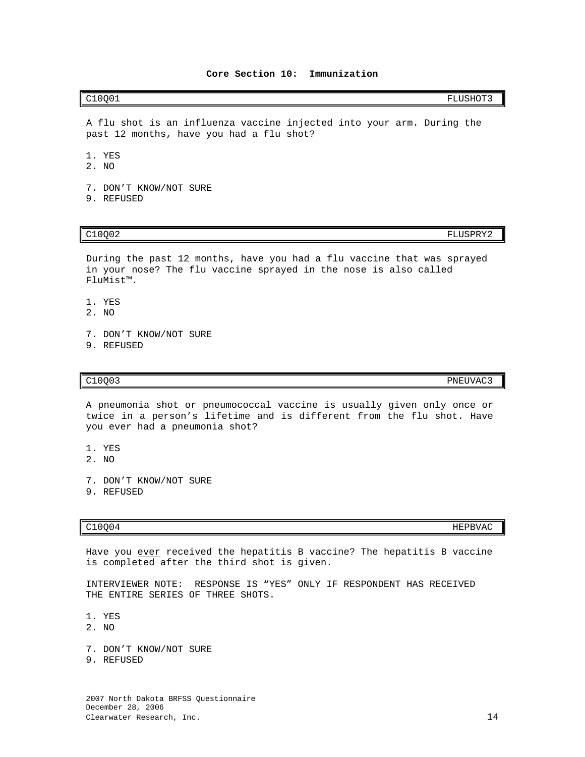<span id="page-15-0"></span>C10Q01 FLUSHOT3

A flu shot is an influenza vaccine injected into your arm. During the past 12 months, have you had a flu shot?

- 1. YES
- 2. NO
- 7. DON'T KNOW/NOT SURE
- 9. REFUSED

C10Q02 FLUSPRY2

During the past 12 months, have you had a flu vaccine that was sprayed in your nose? The flu vaccine sprayed in the nose is also called FluMist™.

- 1. YES
- 2. NO
- 7. DON'T KNOW/NOT SURE
- 9. REFUSED

C10Q03 PNEUVAC3

A pneumonia shot or pneumococcal vaccine is usually given only once or twice in a person's lifetime and is different from the flu shot. Have you ever had a pneumonia shot?

- 1. YES
- 2. NO
- 7. DON'T KNOW/NOT SURE
- 9. REFUSED

 $C10Q04$  HEPBVAC

Have you ever received the hepatitis B vaccine? The hepatitis B vaccine is completed after the third shot is given.

INTERVIEWER NOTE: RESPONSE IS "YES" ONLY IF RESPONDENT HAS RECEIVED THE ENTIRE SERIES OF THREE SHOTS.

- 1. YES
- 2. NO
- 7. DON'T KNOW/NOT SURE
- 9. REFUSED

2007 North Dakota BRFSS Questionnaire December 28, 2006 Clearwater Research, Inc. 14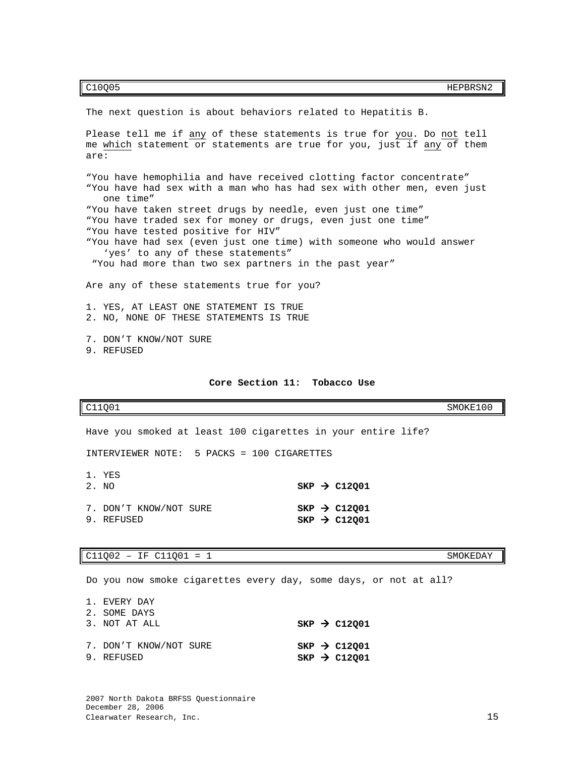C10Q05 HEPBRSN2

Please tell me if any of these statements is true for you. Do not tell me which statement or statements are true for you, just if any of them are: "You have hemophilia and have received clotting factor concentrate" "You have had sex with a man who has had sex with other men, even just one time" "You have taken street drugs by needle, even just one time" "You have traded sex for money or drugs, even just one time" "You have tested positive for HIV" "You have had sex (even just one time) with someone who would answer 'yes' to any of these statements" "You had more than two sex partners in the past year" Are any of these statements true for you? 1. YES, AT LEAST ONE STATEMENT IS TRUE 2. NO, NONE OF THESE STATEMENTS IS TRUE 7. DON'T KNOW/NOT SURE 9. REFUSED **Core Section 11: Tobacco Use** C11Q01 SMOKE100 Have you smoked at least 100 cigarettes in your entire life? INTERVIEWER NOTE: 5 PACKS = 100 CIGARETTES 1. YES<br>2. NO  $SKP \rightarrow C12Q01$ 7. DON'T KNOW/NOT SURE **SKP → C12Q01**<br>
9. REFUSED **SKP → C12O01** 

The next question is about behaviors related to Hepatitis B.

<span id="page-16-0"></span>C11Q02 - IF C11Q01 = 1 SMOKEDAY

1. EVERY DAY

Do you now smoke cigarettes every day, some days, or not at all?

 $SKP \rightarrow C12Q01$ 

| I. EVEKI DAI<br>2. SOME DAYS         |  |                                                      |
|--------------------------------------|--|------------------------------------------------------|
| 3. NOT AT ALL                        |  | $SKP \rightarrow C12001$                             |
| 7. DON'T KNOW/NOT SURE<br>9. REFUSED |  | $SKP \rightarrow C12001$<br>$SKP \rightarrow C12001$ |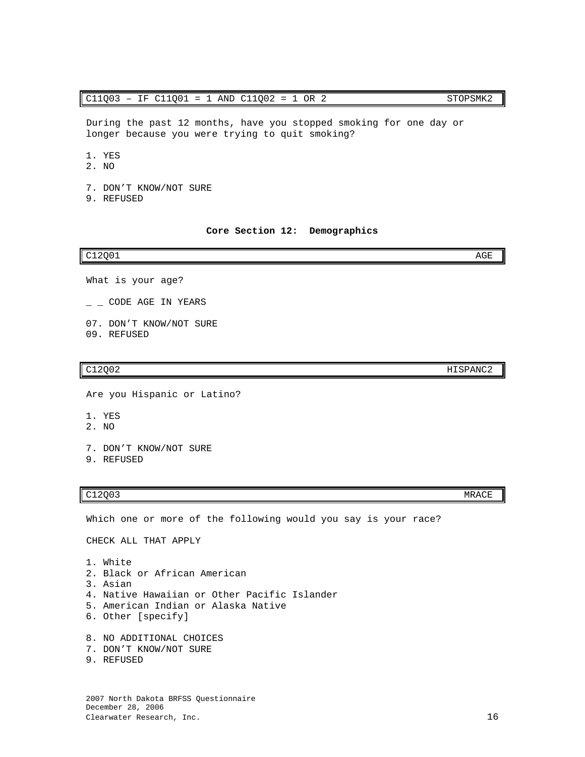### $C11Q03 - IF C11Q01 = 1 AND C11Q02 = 1 OR 2$  STOPSMK2

During the past 12 months, have you stopped smoking for one day or longer because you were trying to quit smoking?

1. YES

- 2. NO
- 7. DON'T KNOW/NOT SURE
- 9. REFUSED

### **Core Section 12: Demographics**

### <span id="page-17-0"></span> $C12Q01$  and  $C12Q01$

- What is your age?
- $\_$   $\_$  CODE AGE IN YEARS
- 07. DON'T KNOW/NOT SURE
- 09. REFUSED

Are you Hispanic or Latino?

- 1. YES
- 2. NO
- 7. DON'T KNOW/NOT SURE
- 9. REFUSED

### C12Q03 MRACE

Which one or more of the following would you say is your race?

CHECK ALL THAT APPLY

1. White 2. Black or African American 3. Asian 4. Native Hawaiian or Other Pacific Islander 5. American Indian or Alaska Native 6. Other [specify] 8. NO ADDITIONAL CHOICES 7. DON'T KNOW/NOT SURE

9. REFUSED

C12Q02 HISPANC2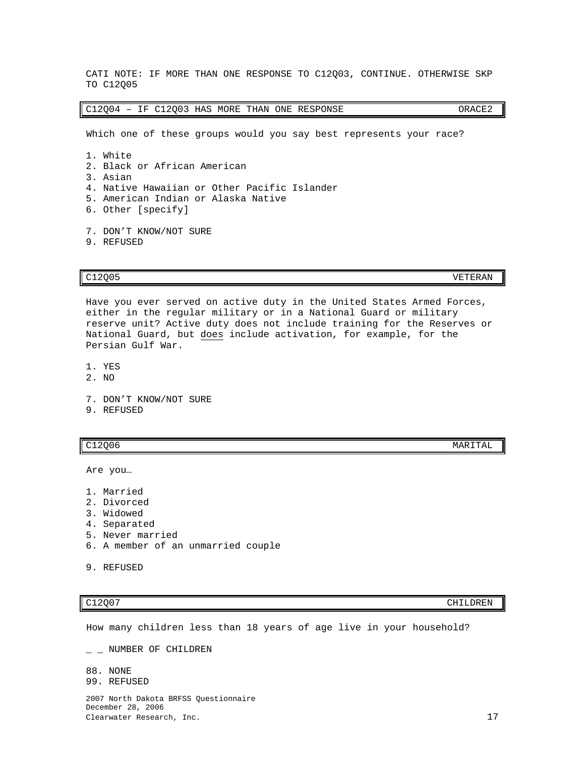4. Native Hawaiian or Other Pacific Islander 5. American Indian or Alaska Native 6. Other [specify]

CATI NOTE: IF MORE THAN ONE RESPONSE TO C12Q03, CONTINUE. OTHERWISE SKP

C12Q04 – IF C12Q03 HAS MORE THAN ONE RESPONSE ORACE2

Which one of these groups would you say best represents your race?

7. DON'T KNOW/NOT SURE 9. REFUSED

2. Black or African American

TO C12Q05

1. White

3. Asian

C12Q05 VETERAN

Have you ever served on active duty in the United States Armed Forces, either in the regular military or in a National Guard or military reserve unit? Active duty does not include training for the Reserves or National Guard, but does include activation, for example, for the Persian Gulf War.

1. YES

- 2. NO
- 7. DON'T KNOW/NOT SURE
- 9. REFUSED

Are you…

- 1. Married
- 2. Divorced
- 3. Widowed
- 4. Separated
- 5. Never married
- 6. A member of an unmarried couple

How many children less than 18 years of age live in your household?

 $-$  NUMBER OF CHILDREN

88. NONE

99. REFUSED

2007 North Dakota BRFSS Questionnaire December 28, 2006 Clearwater Research, Inc. 17

 $C12Q06$  MARITAL

C12Q07 CHILDREN

<sup>9.</sup> REFUSED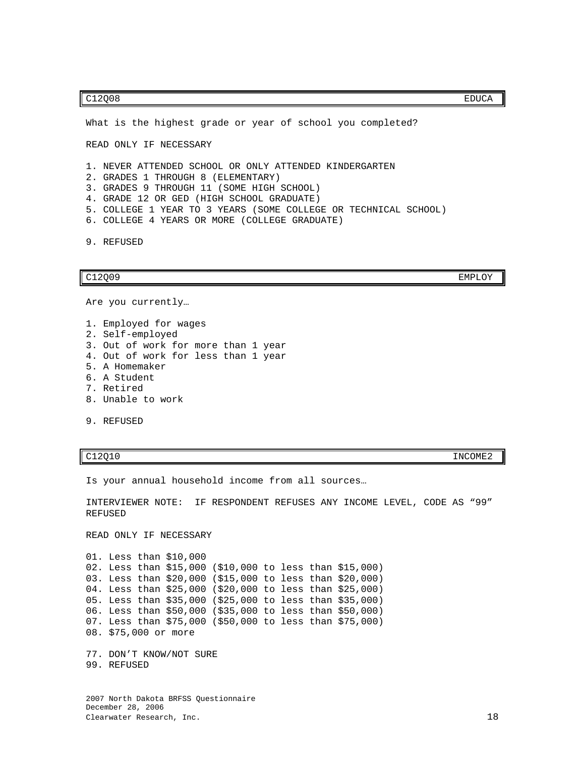### C12Q08 EDUCA

What is the highest grade or year of school you completed?

READ ONLY IF NECESSARY

- 1. NEVER ATTENDED SCHOOL OR ONLY ATTENDED KINDERGARTEN
- 2. GRADES 1 THROUGH 8 (ELEMENTARY)
- 3. GRADES 9 THROUGH 11 (SOME HIGH SCHOOL)
- 4. GRADE 12 OR GED (HIGH SCHOOL GRADUATE)
- 5. COLLEGE 1 YEAR TO 3 YEARS (SOME COLLEGE OR TECHNICAL SCHOOL)
- 6. COLLEGE 4 YEARS OR MORE (COLLEGE GRADUATE)

9. REFUSED

### C12Q09 EMPLOY

Are you currently…

- 1. Employed for wages 2. Self-employed 3. Out of work for more than 1 year 4. Out of work for less than 1 year 5. A Homemaker 6. A Student 7. Retired 8. Unable to work
- 9. REFUSED

C12Q10 INCOME2

Is your annual household income from all sources…

INTERVIEWER NOTE: IF RESPONDENT REFUSES ANY INCOME LEVEL, CODE AS "99" REFUSED

READ ONLY IF NECESSARY

01. Less than \$10,000 02. Less than \$15,000 (\$10,000 to less than \$15,000) 03. Less than \$20,000 (\$15,000 to less than \$20,000) 04. Less than \$25,000 (\$20,000 to less than \$25,000) 05. Less than \$35,000 (\$25,000 to less than \$35,000) 06. Less than \$50,000 (\$35,000 to less than \$50,000) 07. Less than \$75,000 (\$50,000 to less than \$75,000) 08. \$75,000 or more

77. DON'T KNOW/NOT SURE 99. REFUSED

2007 North Dakota BRFSS Questionnaire December 28, 2006 Clearwater Research, Inc. 18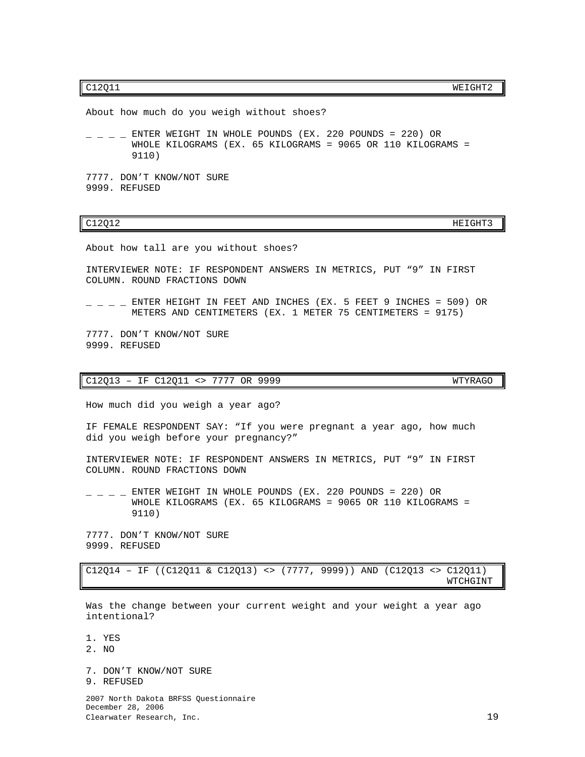C12Q11 WEIGHT2

About how much do you weigh without shoes?

 $-$  ENTER WEIGHT IN WHOLE POUNDS (EX. 220 POUNDS = 220) OR WHOLE KILOGRAMS (EX. 65 KILOGRAMS = 9065 OR 110 KILOGRAMS = 9110)

7777. DON'T KNOW/NOT SURE 9999. REFUSED

C12Q12 HEIGHT3

About how tall are you without shoes?

INTERVIEWER NOTE: IF RESPONDENT ANSWERS IN METRICS, PUT "9" IN FIRST COLUMN. ROUND FRACTIONS DOWN

 $-$  ENTER HEIGHT IN FEET AND INCHES (EX. 5 FEET 9 INCHES = 509) OR METERS AND CENTIMETERS (EX. 1 METER 75 CENTIMETERS = 9175)

7777. DON'T KNOW/NOT SURE 9999. REFUSED

### C12Q13 – IF C12Q11 <> 7777 OR 9999 WTYRAGO

How much did you weigh a year ago?

IF FEMALE RESPONDENT SAY: "If you were pregnant a year ago, how much did you weigh before your pregnancy?"

INTERVIEWER NOTE: IF RESPONDENT ANSWERS IN METRICS, PUT "9" IN FIRST COLUMN. ROUND FRACTIONS DOWN

 $-$  ENTER WEIGHT IN WHOLE POUNDS (EX. 220 POUNDS = 220) OR WHOLE KILOGRAMS (EX. 65 KILOGRAMS = 9065 OR 110 KILOGRAMS = 9110)

7777. DON'T KNOW/NOT SURE 9999. REFUSED

C12Q14 – IF ((C12Q11 & C12Q13) <> (7777, 9999)) AND (C12Q13 <> C12Q11)

witch the contract of the contract of the contract of the contract of the contract of the contract of the contract of the contract of the contract of the contract of the contract of the contract of the contract of the cont

Was the change between your current weight and your weight a year ago intentional?

1. YES

2. NO

7. DON'T KNOW/NOT SURE 9. REFUSED

2007 North Dakota BRFSS Questionnaire December 28, 2006 Clearwater Research, Inc. 19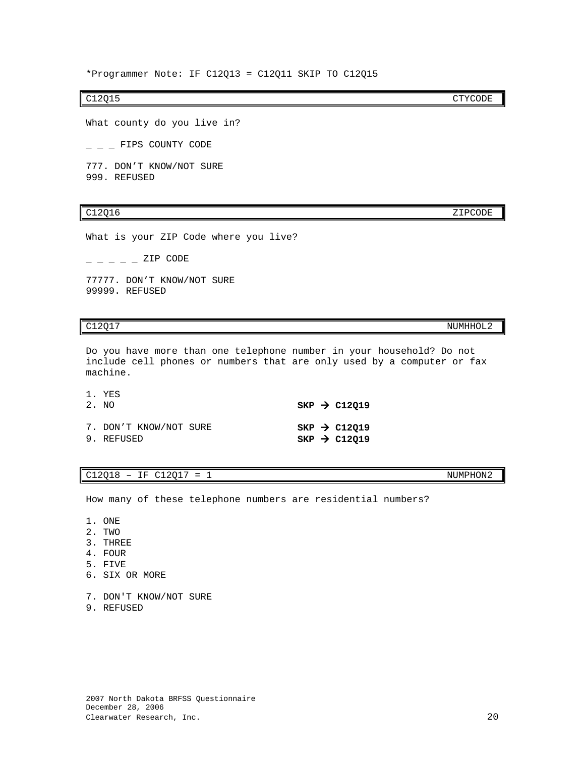\*Programmer Note: IF C12Q13 = C12Q11 SKIP TO C12Q15

What county do you live in?

 $=$  FIPS COUNTY CODE

777. DON'T KNOW/NOT SURE 999. REFUSED

### C12Q16 ZIPCODE

What is your ZIP Code where you live?

 $ZIP$  CODE

77777. DON'T KNOW/NOT SURE 99999. REFUSED

 $1 - VFC$ 

1. ONE 2. TWO 3. THREE 4. FOUR 5. FIVE

6. SIX OR MORE

9. REFUSED

Do you have more than one telephone number in your household? Do not include cell phones or numbers that are only used by a computer or fax machine.

| 1. ILO<br>2. NO                      |  | $SKP$ $\rightarrow$ C12019                             |
|--------------------------------------|--|--------------------------------------------------------|
| 7. DON'T KNOW/NOT SURE<br>9. REFUSED |  | $SKP$ $\rightarrow$ C12019<br>SKP $\rightarrow$ C12019 |

How many of these telephone numbers are residential numbers?

### $C12Q18 - IF C12Q17 = 1$  NUMPHON2

7. DON'T KNOW/NOT SURE

C12Q17 NUMHHOL2

C12Q15 CTYCODE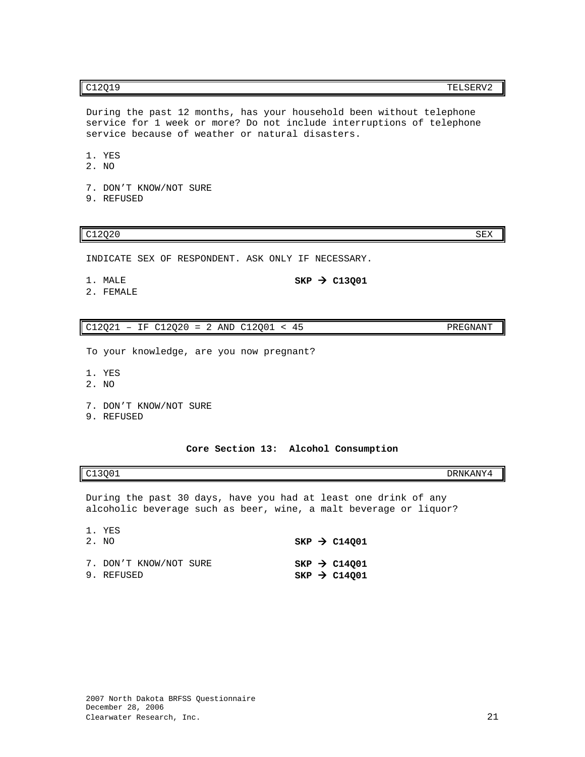During the past 12 months, has your household been without telephone service for 1 week or more? Do not include interruptions of telephone service because of weather or natural disasters.

- 1. YES
- 2. NO
- 7. DON'T KNOW/NOT SURE
- 9. REFUSED

### $C12Q20$  SEX

INDICATE SEX OF RESPONDENT. ASK ONLY IF NECESSARY.

- 1. MALE  $SKP \rightarrow C13Q01$
- 2. FEMALE

 $C12Q21 - IF C12Q20 = 2 AND C12Q01 < 45$  PREGNANT

To your knowledge, are you now pregnant?

- 1. YES
- 2. NO
- 7. DON'T KNOW/NOT SURE
- 9. REFUSED

|  |  | Core Section 13: Alcohol Consumption |
|--|--|--------------------------------------|
|  |  |                                      |

<span id="page-22-0"></span>

| $\sim$ 1 $\sim$<br>.001 | <b>DDATES</b><br>----<br>$\sqrt{ }$<br>. ANV |
|-------------------------|----------------------------------------------|
| へいしょ<br>---<br>~        | DRNKI<br>.                                   |
|                         |                                              |
|                         |                                              |

During the past 30 days, have you had at least one drink of any alcoholic beverage such as beer, wine, a malt beverage or liquor?

| 1. YES<br>2. NO                      |  | $SKP$ $\rightarrow$ C14001                             |
|--------------------------------------|--|--------------------------------------------------------|
| 7. DON'T KNOW/NOT SURE<br>9. REFUSED |  | $SKP$ $\rightarrow$ C14001<br>SKP $\rightarrow$ C14Q01 |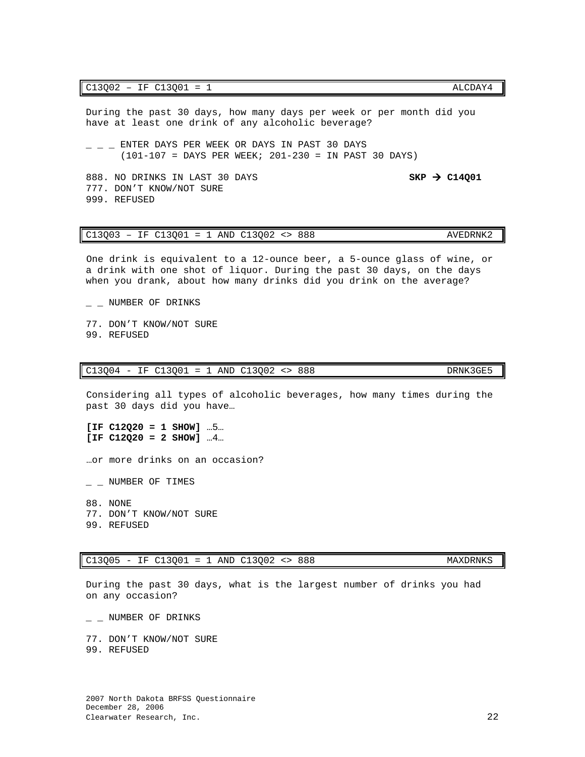During the past 30 days, how many days per week or per month did you have at least one drink of any alcoholic beverage?

 $-$  ENTER DAYS PER WEEK OR DAYS IN PAST 30 DAYS (101-107 = DAYS PER WEEK; 201-230 = IN PAST 30 DAYS)

888. NO DRINKS IN LAST 30 DAYS **SKP > C14Q01** 777. DON'T KNOW/NOT SURE 999. REFUSED

### $C13Q03 - IF C13Q01 = 1$  AND  $C13Q02 \iff 888$  AVEDRNK2

One drink is equivalent to a 12-ounce beer, a 5-ounce glass of wine, or a drink with one shot of liquor. During the past 30 days, on the days when you drank, about how many drinks did you drink on the average?

 $\_$  NUMBER OF DRINKS

77. DON'T KNOW/NOT SURE 99. REFUSED

### C13Q04 - IF C13Q01 = 1 AND C13Q02 <> 888

Considering all types of alcoholic beverages, how many times during the past 30 days did you have…

**[IF C12Q20 = 1 SHOW]** …5… **[IF C12Q20 = 2 SHOW]** …4…

…or more drinks on an occasion?

 $-$  NUMBER OF TIMES

88. NONE 77. DON'T KNOW/NOT SURE 99. REFUSED

### C13Q05 - IF C13Q01 = 1 AND C13Q02 <> 888 MAXDRNKS

During the past 30 days, what is the largest number of drinks you had on any occasion?

 $\_$  NUMBER OF DRINKS

77. DON'T KNOW/NOT SURE 99. REFUSED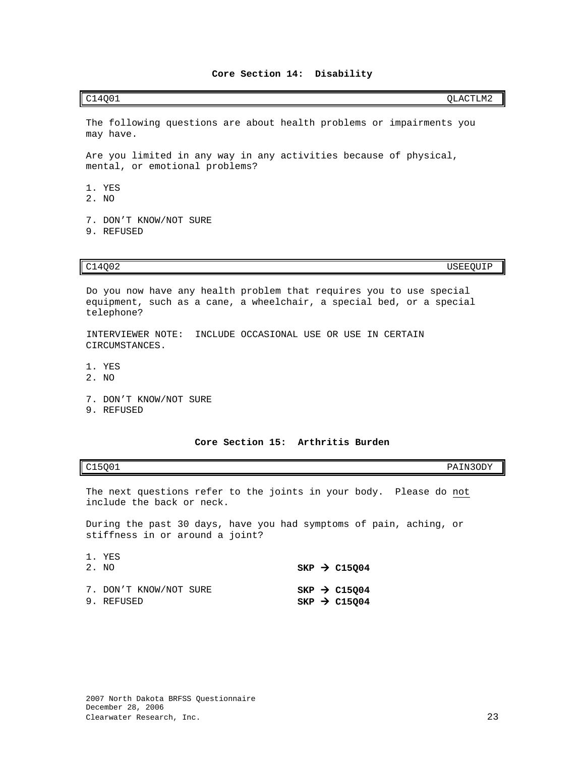<span id="page-24-0"></span>

| OLACTLM2<br>C14Q01 |
|--------------------|
|--------------------|

The following questions are about health problems or impairments you may have.

Are you limited in any way in any activities because of physical, mental, or emotional problems?

- 1. YES
- 2. NO
- 7. DON'T KNOW/NOT SURE 9. REFUSED

C14Q02 USEEQUIP

Do you now have any health problem that requires you to use special equipment, such as a cane, a wheelchair, a special bed, or a special telephone?

INTERVIEWER NOTE: INCLUDE OCCASIONAL USE OR USE IN CERTAIN CIRCUMSTANCES.

- 1. YES
- 2. NO
- 7. DON'T KNOW/NOT SURE
- 9. REFUSED

### **Core Section 15: Arthritis Burden**

<span id="page-24-1"></span>C15Q01 PAIN3ODY

The next questions refer to the joints in your body. Please do not include the back or neck.

During the past 30 days, have you had symptoms of pain, aching, or stiffness in or around a joint?

| 1. YES<br>2. NO                      |  | $SKP \rightarrow C15004$                               |
|--------------------------------------|--|--------------------------------------------------------|
| 7. DON'T KNOW/NOT SURE<br>9. REFUSED |  | $SKP \rightarrow C15Q04$<br>$SKP$ $\rightarrow$ C15Q04 |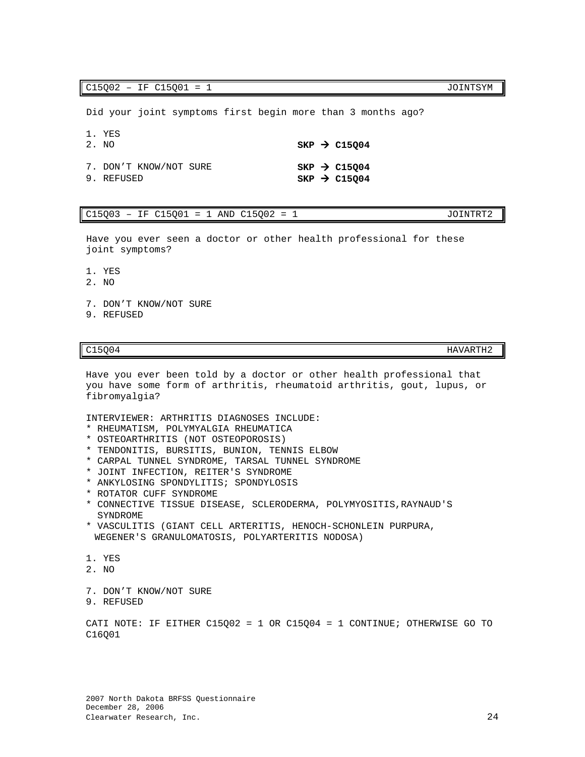C15002 - IF C15001 = 1 JOINTSYM

Did your joint symptoms first begin more than 3 months ago?

1. YES

| 2. NO                                |  | $SKP \rightarrow C15004$                             |
|--------------------------------------|--|------------------------------------------------------|
| 7. DON'T KNOW/NOT SURE<br>9. REFUSED |  | $SKP \rightarrow C15004$<br>$SKP \rightarrow C15Q04$ |

### $C15Q03 - IF C15Q01 = 1$  AND  $C15Q02 = 1$  JOINTRT2

Have you ever seen a doctor or other health professional for these joint symptoms?

- 1. YES
- 2. NO
- 7. DON'T KNOW/NOT SURE
- 9. REFUSED

C15Q04 HAVARTH2

Have you ever been told by a doctor or other health professional that you have some form of arthritis, rheumatoid arthritis, gout, lupus, or fibromyalgia?

INTERVIEWER: ARTHRITIS DIAGNOSES INCLUDE:

- \* RHEUMATISM, POLYMYALGIA RHEUMATICA
- \* OSTEOARTHRITIS (NOT OSTEOPOROSIS)
- \* TENDONITIS, BURSITIS, BUNION, TENNIS ELBOW
- \* CARPAL TUNNEL SYNDROME, TARSAL TUNNEL SYNDROME
- \* JOINT INFECTION, REITER'S SYNDROME
- \* ANKYLOSING SPONDYLITIS; SPONDYLOSIS
- \* ROTATOR CUFF SYNDROME
- \* CONNECTIVE TISSUE DISEASE, SCLERODERMA, POLYMYOSITIS,RAYNAUD'S SYNDROME
- \* VASCULITIS (GIANT CELL ARTERITIS, HENOCH-SCHONLEIN PURPURA, WEGENER'S GRANULOMATOSIS, POLYARTERITIS NODOSA)
- 1. YES
- 2. NO
- 7. DON'T KNOW/NOT SURE
- 9. REFUSED

CATI NOTE: IF EITHER C15Q02 = 1 OR C15Q04 = 1 CONTINUE; OTHERWISE GO TO C16Q01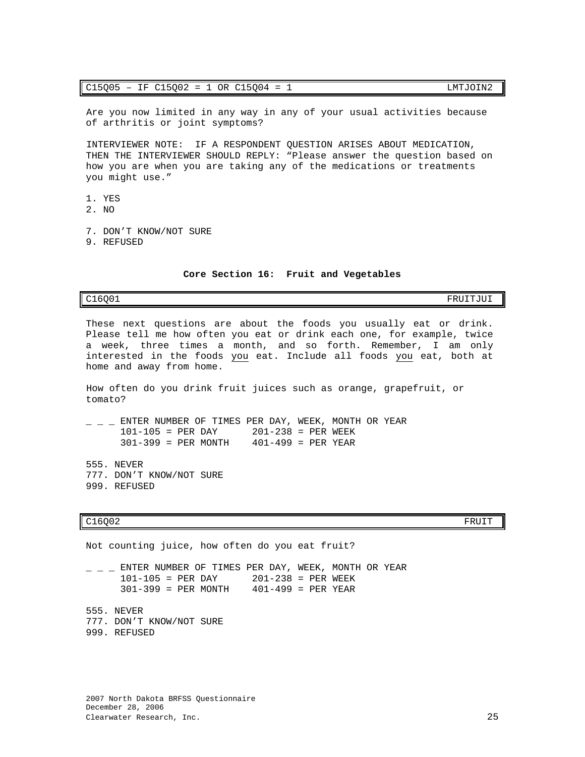Are you now limited in any way in any of your usual activities because of arthritis or joint symptoms?

INTERVIEWER NOTE: IF A RESPONDENT QUESTION ARISES ABOUT MEDICATION, THEN THE INTERVIEWER SHOULD REPLY: "Please answer the question based on how you are when you are taking any of the medications or treatments you might use."

- 1. YES
- 2. NO
- 7. DON'T KNOW/NOT SURE
- 9. REFUSED

**Core Section 16: Fruit and Vegetables**

<span id="page-26-0"></span>

C16Q01 FRUITJUI

These next questions are about the foods you usually eat or drink. Please tell me how often you eat or drink each one, for example, twice a week, three times a month, and so forth. Remember, I am only interested in the foods you eat. Include all foods you eat, both at home and away from home.

How often do you drink fruit juices such as orange, grapefruit, or tomato?

 $\frac{\text{F}}{\text{F}}$  =  $\frac{\text{F}}{\text{F}}$  =  $\frac{\text{F}}{\text{F}}$  =  $\frac{\text{F}}{\text{F}}$  =  $\frac{\text{F}}{\text{F}}$  =  $\frac{\text{F}}{\text{F}}$  =  $\frac{\text{F}}{\text{F}}$  =  $\frac{\text{F}}{\text{F}}$  =  $\frac{\text{F}}{\text{F}}$  =  $\frac{\text{F}}{\text{F}}$  =  $\frac{\text{F}}{\text{F}}$  =  $\frac{\text{F}}{\text{F}}$  =  $\frac{\text{F}}{\text{F}}$  = 101-105 = PER DAY<br>301-399 = PER MONTH  $401-499$  = PER YEAR

555. NEVER 777. DON'T KNOW/NOT SURE 999. REFUSED

### $C16Q02$  FRUIT

Not counting juice, how often do you eat fruit?  $-$  ENTER NUMBER OF TIMES PER DAY, WEEK, MONTH OR YEAR 101-105 = PER DAY 201-238 = PER WEEK 101-105 = PER DAY 201-238 = PER WEEK  $401-499$  = PER YEAR 555. NEVER 777. DON'T KNOW/NOT SURE

999. REFUSED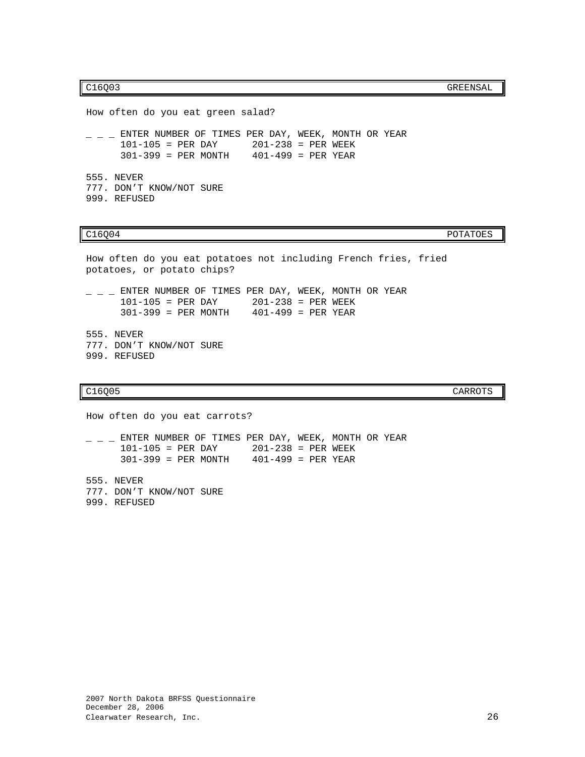C16Q03 GREENSAL

How often do you eat green salad?  $-$  ENTER NUMBER OF TIMES PER DAY, WEEK, MONTH OR YEAR 101-105 = PER DAY 201-238 = PER WEEK 201-238 = PER WEEK<br>401-499 = PER YEAR  $301-399$  = PER MONTH 555. NEVER 777. DON'T KNOW/NOT SURE 999. REFUSED

C16Q04 POTATOES

```
How often do you eat potatoes not including French fries, fried 
potatoes, or potato chips?
- - ENTER NUMBER OF TIMES PER DAY, WEEK, MONTH OR YEAR<br>101-105 = PER DAY 201-238 = PER WEEK
                                    201-238 = PER WEEK<br>401-499 = PER YEAR301-399 = PER MONTH
555. NEVER
777. DON'T KNOW/NOT SURE
999. REFUSED
```
C16Q05 CARROTS

How often do you eat carrots?  $-$  ENTER NUMBER OF TIMES PER DAY, WEEK, MONTH OR YEAR 101-105 = PER DAY 201-238 = PER WEEK  $301-399 = PER MOMTH$ 555. NEVER 777. DON'T KNOW/NOT SURE 999. REFUSED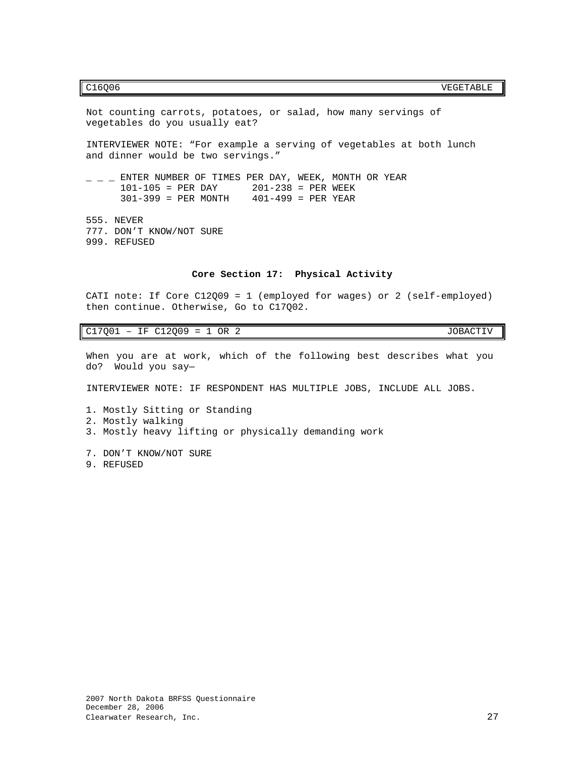### C16Q06 VEGETABLE

Not counting carrots, potatoes, or salad, how many servings of vegetables do you usually eat? INTERVIEWER NOTE: "For example a serving of vegetables at both lunch and dinner would be two servings."  $-$  ENTER NUMBER OF TIMES PER DAY, WEEK, MONTH OR YEAR  $101-105$  = PER DAY  $201-238$  = PER WEEK  $201-238 = PER WEEK$ <br> $401-499 = PER YEAR$  $301-399$  = PER MONTH 555. NEVER 777. DON'T KNOW/NOT SURE 999. REFUSED **Core Section 17: Physical Activity**

<span id="page-28-0"></span>CATI note: If Core C12Q09 = 1 (employed for wages) or 2 (self-employed) then continue. Otherwise, Go to C17Q02.

 $C17Q01 - IF C12Q09 = 1 OR 2$  JOBACTIV

When you are at work, which of the following best describes what you do? Would you say—

INTERVIEWER NOTE: IF RESPONDENT HAS MULTIPLE JOBS, INCLUDE ALL JOBS.

- 1. Mostly Sitting or Standing
- 2. Mostly walking
- 3. Mostly heavy lifting or physically demanding work
- 7. DON'T KNOW/NOT SURE 9. REFUSED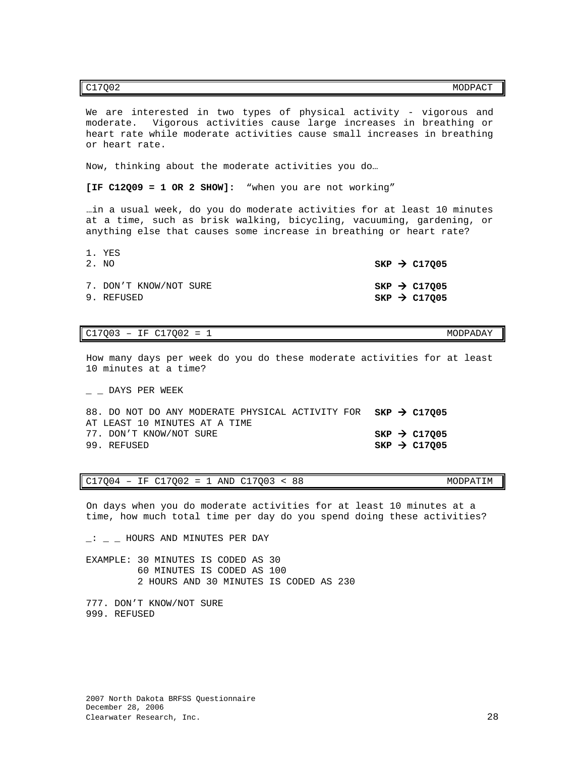We are interested in two types of physical activity - vigorous and moderate. Vigorous activities cause large increases in breathing or heart rate while moderate activities cause small increases in breathing or heart rate.

Now, thinking about the moderate activities you do…

**[IF C12Q09 = 1 OR 2 SHOW]:** "when you are not working"

…in a usual week, do you do moderate activities for at least 10 minutes at a time, such as brisk walking, bicycling, vacuuming, gardening, or anything else that causes some increase in breathing or heart rate?

| 1. YES<br>2. NO                      | $SKP \rightarrow C17005$                             |
|--------------------------------------|------------------------------------------------------|
| 7. DON'T KNOW/NOT SURE<br>9. REFUSED | $SKP \rightarrow C17Q05$<br>$SKP \rightarrow C17Q05$ |

### C17Q03 – IF C17Q02 = 1 MODPADAY

How many days per week do you do these moderate activities for at least 10 minutes at a time?

DAYS PER WEEK

| 88. DO NOT DO ANY MODERATE PHYSICAL ACTIVITY FOR $SKP \rightarrow C17005$ |                          |  |
|---------------------------------------------------------------------------|--------------------------|--|
| AT LEAST 10 MINUTES AT A TIME                                             |                          |  |
| 77. DON'T KNOW/NOT SURE                                                   | $SKP \rightarrow C17005$ |  |
| 99. REFUSED                                                               | $SKP \rightarrow C17005$ |  |

### $C17Q04 - IF C17Q02 = 1$  AND  $C17Q03 < 88$  MODPATIM

On days when you do moderate activities for at least 10 minutes at a time, how much total time per day do you spend doing these activities?

 $-$  HOURS AND MINUTES PER DAY

EXAMPLE: 30 MINUTES IS CODED AS 30 60 MINUTES IS CODED AS 100 2 HOURS AND 30 MINUTES IS CODED AS 230

777. DON'T KNOW/NOT SURE 999. REFUSED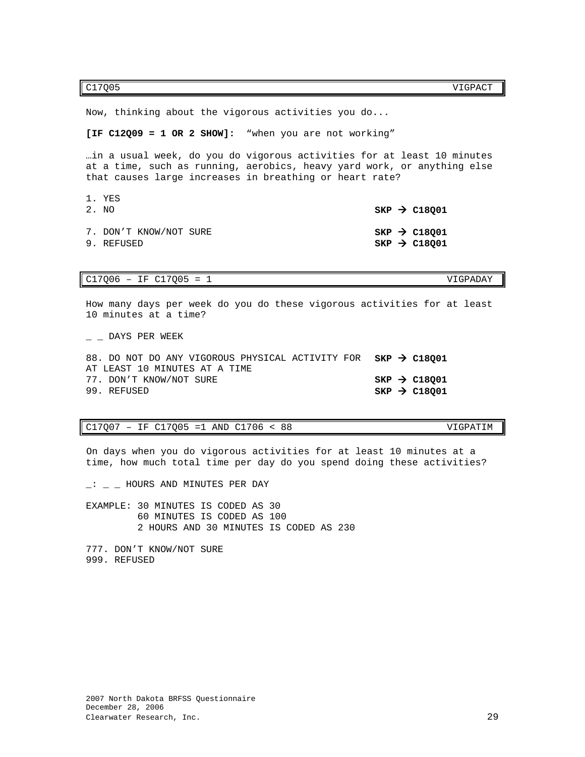C17Q05 VIGPACT

Now, thinking about the vigorous activities you do...

**[IF C12Q09 = 1 OR 2 SHOW]:** "when you are not working"

…in a usual week, do you do vigorous activities for at least 10 minutes at a time, such as running, aerobics, heavy yard work, or anything else that causes large increases in breathing or heart rate?

| 1. YES<br>2. NO                      | $SKP \rightarrow C18001$                                 |
|--------------------------------------|----------------------------------------------------------|
| 7. DON'T KNOW/NOT SURE<br>9. REFUSED | $SKP$ $\rightarrow$ C18001<br>$SKP$ $\rightarrow$ C18001 |

### C17Q06 – IF C17Q05 = 1 VIGPADAY

How many days per week do you do these vigorous activities for at least 10 minutes at a time?

\_ \_ DAYS PER WEEK

| 88. DO NOT DO ANY VIGOROUS PHYSICAL ACTIVITY FOR $SKP \rightarrow C18001$ |  |                          |
|---------------------------------------------------------------------------|--|--------------------------|
| AT LEAST 10 MINUTES AT A TIME                                             |  |                          |
| 77. DON'T KNOW/NOT SURE                                                   |  | $SKP \rightarrow C18001$ |
| 99. REFUSED                                                               |  | $SKP \rightarrow C18001$ |

### C17Q07 – IF C17Q05 =1 AND C1706 < 88 VIGPATIM

On days when you do vigorous activities for at least 10 minutes at a time, how much total time per day do you spend doing these activities?

 $-$ :  $-$  HOURS AND MINUTES PER DAY

EXAMPLE: 30 MINUTES IS CODED AS 30 60 MINUTES IS CODED AS 100 2 HOURS AND 30 MINUTES IS CODED AS 230

777. DON'T KNOW/NOT SURE 999. REFUSED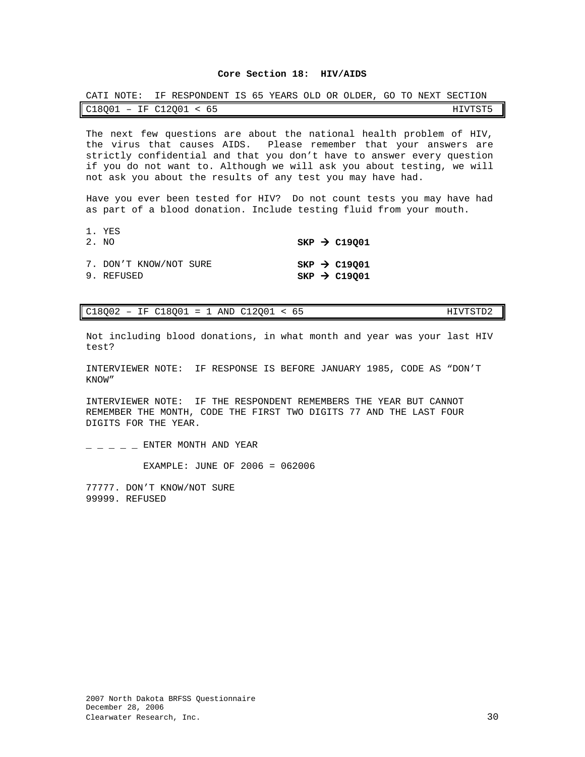### **Core Section 18: HIV/AIDS**

<span id="page-31-0"></span>

| CATI NOTE: IF RESPONDENT IS 65 YEARS OLD OR OLDER, GO TO NEXT SECTION |  |  |  |         |
|-----------------------------------------------------------------------|--|--|--|---------|
| $C18001$ - IF $C12001$ < 65                                           |  |  |  | HIVTST5 |

The next few questions are about the national health problem of HIV, the virus that causes AIDS. Please remember that your answers are strictly confidential and that you don't have to answer every question if you do not want to. Although we will ask you about testing, we will not ask you about the results of any test you may have had.

Have you ever been tested for HIV? Do not count tests you may have had as part of a blood donation. Include testing fluid from your mouth.

| 1. YES<br>2. NO                      |  | $SKP \rightarrow C19001$                             |
|--------------------------------------|--|------------------------------------------------------|
| 7. DON'T KNOW/NOT SURE<br>9. REFUSED |  | $SKP \rightarrow C19001$<br>$SKP \rightarrow C19001$ |

C18Q02 – IF C18Q01 = 1 AND C12Q01 < 65 HIVTSTD2

Not including blood donations, in what month and year was your last HIV test?

INTERVIEWER NOTE: IF RESPONSE IS BEFORE JANUARY 1985, CODE AS "DON'T KNOW"

INTERVIEWER NOTE: IF THE RESPONDENT REMEMBERS THE YEAR BUT CANNOT REMEMBER THE MONTH, CODE THE FIRST TWO DIGITS 77 AND THE LAST FOUR DIGITS FOR THE YEAR.

 $-$  ENTER MONTH AND YEAR

EXAMPLE: JUNE OF 2006 = 062006

77777. DON'T KNOW/NOT SURE 99999. REFUSED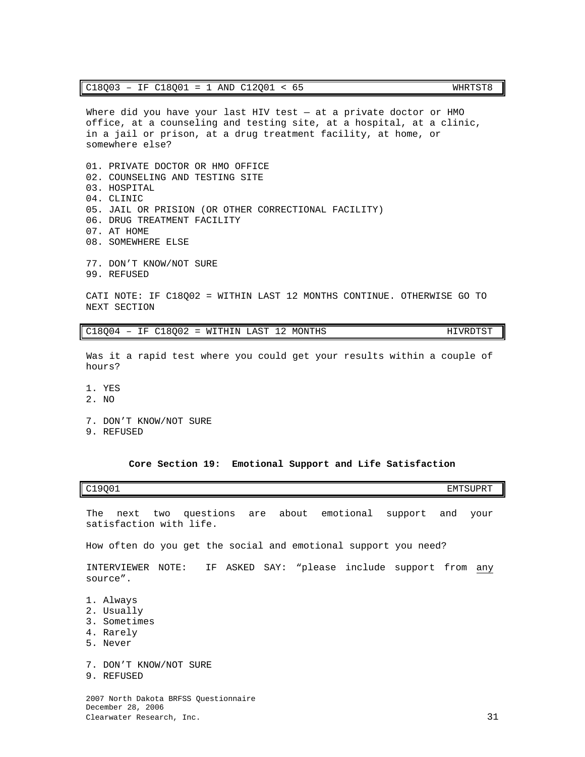Where did you have your last HIV test — at a private doctor or HMO office, at a counseling and testing site, at a hospital, at a clinic, in a jail or prison, at a drug treatment facility, at home, or somewhere else?

01. PRIVATE DOCTOR OR HMO OFFICE 02. COUNSELING AND TESTING SITE 03. HOSPITAL 04. CLINIC 05. JAIL OR PRISION (OR OTHER CORRECTIONAL FACILITY) 06. DRUG TREATMENT FACILITY 07. AT HOME 08. SOMEWHERE ELSE 77. DON'T KNOW/NOT SURE 99. REFUSED

CATI NOTE: IF C18Q02 = WITHIN LAST 12 MONTHS CONTINUE. OTHERWISE GO TO NEXT SECTION

 $C18Q04$  – IF  $C18Q02$  = WITHIN LAST 12 MONTHS  $HIVRDTST$ 

Was it a rapid test where you could get your results within a couple of hours?

- 1. YES
- 2. NO
- 7. DON'T KNOW/NOT SURE
- 9. REFUSED

### **Core Section 19: Emotional Support and Life Satisfaction**

<span id="page-32-0"></span>C19Q01 EMTSUPRT

The next two questions are about emotional support and your satisfaction with life.

How often do you get the social and emotional support you need?

INTERVIEWER NOTE: IF ASKED SAY: "please include support from any source".

- 1. Always
- 2. Usually
- 3. Sometimes
- 4. Rarely
- 5. Never
- 7. DON'T KNOW/NOT SURE
- 9. REFUSED

2007 North Dakota BRFSS Questionnaire December 28, 2006 Clearwater Research, Inc. 31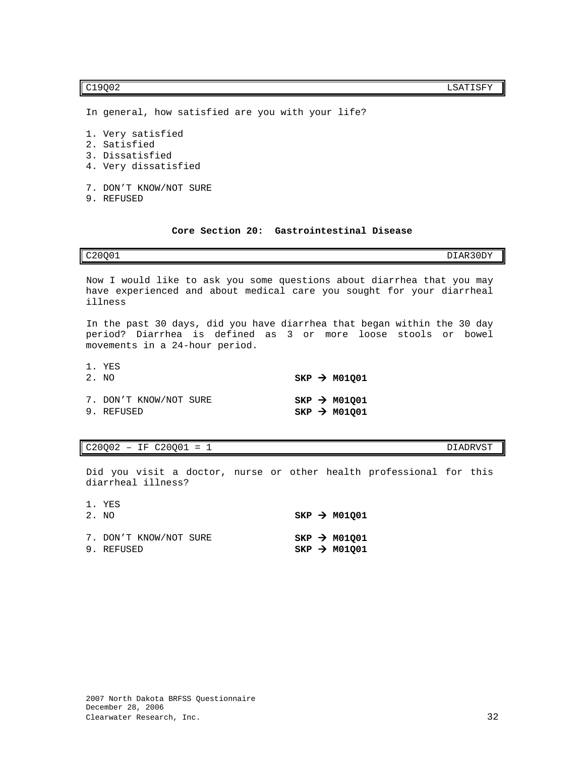In general, how satisfied are you with your life?

- 1. Very satisfied
- 2. Satisfied
- 3. Dissatisfied
- 4. Very dissatisfied
- 7. DON'T KNOW/NOT SURE
- 9. REFUSED

### **Core Section 20: Gastrointestinal Disease**

<span id="page-33-0"></span>C20Q01 DIAR30DY

Now I would like to ask you some questions about diarrhea that you may have experienced and about medical care you sought for your diarrheal illness

In the past 30 days, did you have diarrhea that began within the 30 day period? Diarrhea is defined as 3 or more loose stools or bowel movements in a 24-hour period.

| 1. YES<br>2. NO                      |  | $SKP \rightarrow M01001$                             |
|--------------------------------------|--|------------------------------------------------------|
| 7. DON'T KNOW/NOT SURE<br>9. REFUSED |  | $SKP \rightarrow M01001$<br>$SKP \rightarrow M01001$ |

 $C20Q02 - IF C20Q01 = 1$  DIADRVST

Did you visit a doctor, nurse or other health professional for this diarrheal illness?

| 1. YES<br>2. NO                      |  | $SKP \rightarrow M01001$                             |
|--------------------------------------|--|------------------------------------------------------|
| 7. DON'T KNOW/NOT SURE<br>9. REFUSED |  | $SKP \rightarrow M01001$<br>$SKP \rightarrow M01001$ |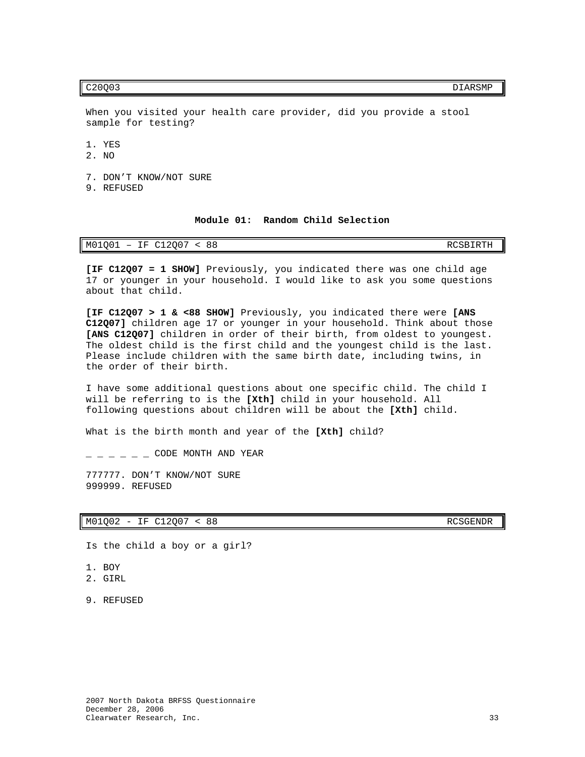C20Q03 DIARSMP

When you visited your health care provider, did you provide a stool sample for testing?

1. YES

2. NO

7. DON'T KNOW/NOT SURE

9. REFUSED

**Module 01: Random Child Selection**

<span id="page-34-0"></span>

| M01Q01<br>J12007<br>ТF<br>$\Omega$<br>o o<br>+ + | RCSBIRTH |
|--------------------------------------------------|----------|
|--------------------------------------------------|----------|

**[IF C12Q07 = 1 SHOW]** Previously, you indicated there was one child age 17 or younger in your household. I would like to ask you some questions about that child.

**[IF C12Q07 > 1 & <88 SHOW]** Previously, you indicated there were **[ANS C12Q07]** children age 17 or younger in your household. Think about those **[ANS C12Q07]** children in order of their birth, from oldest to youngest. The oldest child is the first child and the youngest child is the last. Please include children with the same birth date, including twins, in the order of their birth.

I have some additional questions about one specific child. The child I will be referring to is the **[Xth]** child in your household. All following questions about children will be about the **[Xth]** child.

What is the birth month and year of the **[Xth]** child?

 $-$  CODE MONTH AND YEAR

777777. DON'T KNOW/NOT SURE 999999. REFUSED

M01Q02 - IF C12Q07 < 88 RCSGENDR

Is the child a boy or a girl?

- 1. BOY
- 2. GIRL
- 9. REFUSED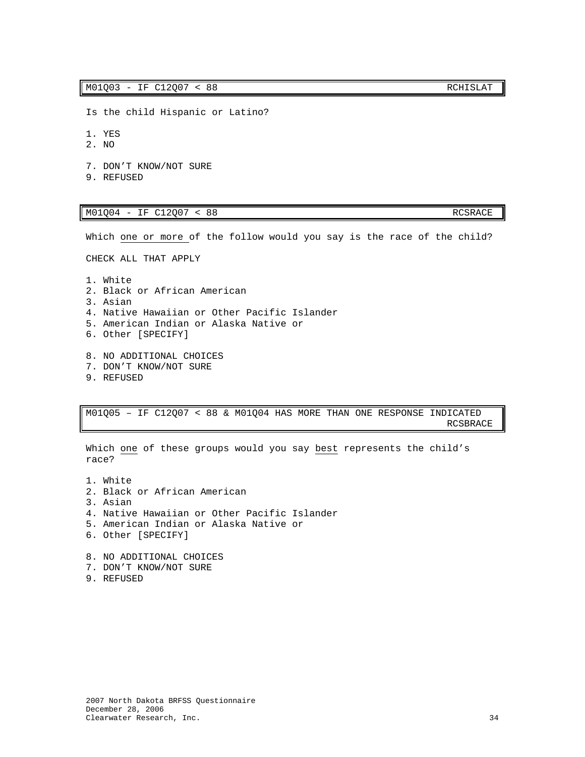- Is the child Hispanic or Latino?
- 1. YES
- 2. NO
- 7. DON'T KNOW/NOT SURE
- 9. REFUSED

### M01Q04 - IF C12Q07 < 88 RCSRACE

Which one or more of the follow would you say is the race of the child?

CHECK ALL THAT APPLY

- 1. White 2. Black or African American 3. Asian 4. Native Hawaiian or Other Pacific Islander 5. American Indian or Alaska Native or 6. Other [SPECIFY]
- 8. NO ADDITIONAL CHOICES 7. DON'T KNOW/NOT SURE
- 9. REFUSED

M01Q05 – IF C12Q07 < 88 & M01Q04 HAS MORE THAN ONE RESPONSE INDICATED <u>RCSBRACE (1999)</u> and the control of the control of the control of the control of the control of the control of the control of the control of the control of the control of the control of the control of the control of the c

Which one of these groups would you say best represents the child's race?

- 1. White 2. Black or African American 3. Asian 4. Native Hawaiian or Other Pacific Islander 5. American Indian or Alaska Native or 6. Other [SPECIFY] 8. NO ADDITIONAL CHOICES
- 7. DON'T KNOW/NOT SURE
- 9. REFUSED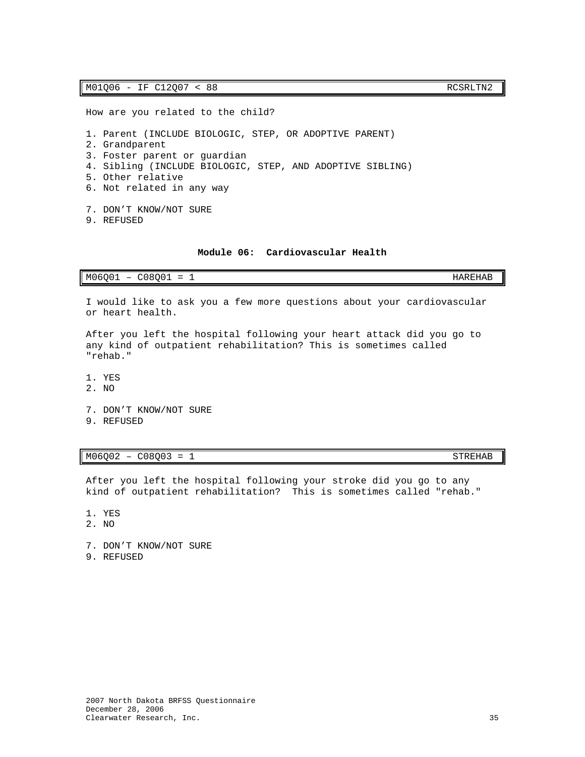### M01Q06 - IF C12Q07 < 88 RCSRLTN2

How are you related to the child?

1. Parent (INCLUDE BIOLOGIC, STEP, OR ADOPTIVE PARENT)

- 2. Grandparent
- 3. Foster parent or guardian
- 4. Sibling (INCLUDE BIOLOGIC, STEP, AND ADOPTIVE SIBLING)
- 5. Other relative
- 6. Not related in any way
- 7. DON'T KNOW/NOT SURE
- 9. REFUSED

### **Module 06: Cardiovascular Health**

<span id="page-36-0"></span>

| M06Q01<br>1000 <sup>o</sup><br>$\overline{\phantom{0}}$<br>-<br>'∩∪∪⊥<br>$\overline{\phantom{0}}$<br>--<br>- | <b>TIADEILAD</b><br>HAREHAB |
|--------------------------------------------------------------------------------------------------------------|-----------------------------|
|--------------------------------------------------------------------------------------------------------------|-----------------------------|

I would like to ask you a few more questions about your cardiovascular or heart health.

After you left the hospital following your heart attack did you go to any kind of outpatient rehabilitation? This is sometimes called "rehab."

- 1. YES
- 2. NO
- 7. DON'T KNOW/NOT SURE
- 9. REFUSED

### $M06Q02 - C08Q03 = 1$  STREHAB

After you left the hospital following your stroke did you go to any kind of outpatient rehabilitation? This is sometimes called "rehab."

- 1. YES
- 2. NO
- 7. DON'T KNOW/NOT SURE
- 9. REFUSED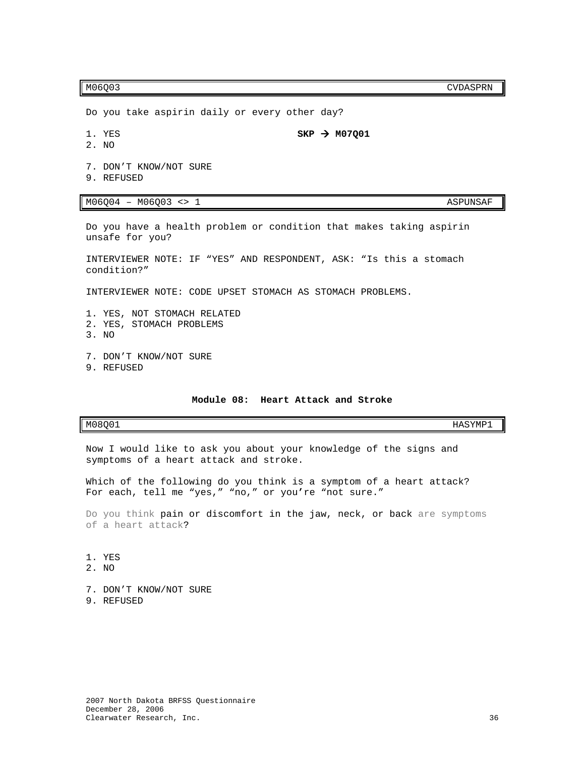M06Q03 CVDASPRN

Do you take aspirin daily or every other day?

2. NO

1. YES  $SKP \rightarrow M07Q01$ 

- 
- 7. DON'T KNOW/NOT SURE
- 9. REFUSED

M06004 - M06003 <> 1 ASPUNSAF

Do you have a health problem or condition that makes taking aspirin unsafe for you?

INTERVIEWER NOTE: IF "YES" AND RESPONDENT, ASK: "Is this a stomach condition?"

INTERVIEWER NOTE: CODE UPSET STOMACH AS STOMACH PROBLEMS.

- 1. YES, NOT STOMACH RELATED
- 2. YES, STOMACH PROBLEMS
- 3. NO
- 7. DON'T KNOW/NOT SURE
- 9. REFUSED

### **Module 08: Heart Attack and Stroke**

<span id="page-37-0"></span> $M08Q01$  HASYMP1

Now I would like to ask you about your knowledge of the signs and symptoms of a heart attack and stroke.

Which of the following do you think is a symptom of a heart attack? For each, tell me "yes," "no," or you**'**re "not sure."

Do you think pain or discomfort in the jaw, neck, or back are symptoms of a heart attack?

- 1. YES
- 2. NO
- 7. DON'T KNOW/NOT SURE 9. REFUSED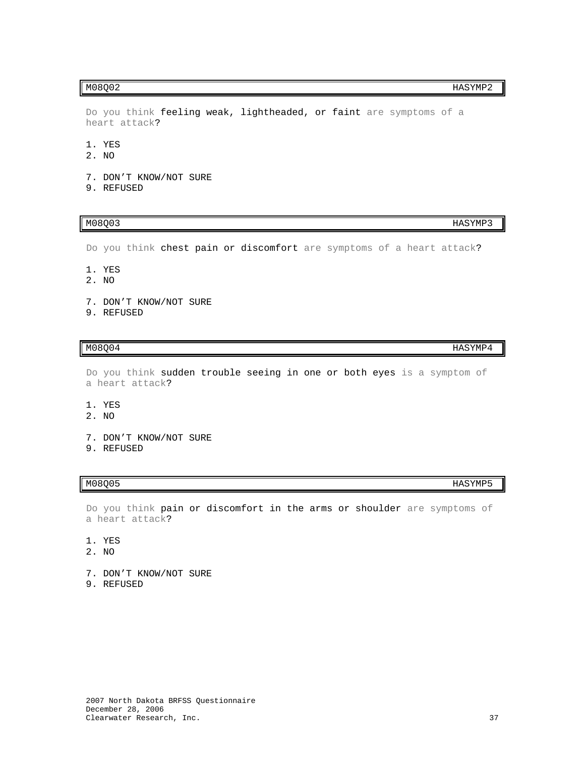Do you think feeling weak, lightheaded, or faint are symptoms of a heart attack?

- 1. YES
- 2. NO
- 7. DON'T KNOW/NOT SURE
- 9. REFUSED

 $M08Q03$  HASYMP3

Do you think chest pain or discomfort are symptoms of a heart attack?

- 1. YES
- 2. NO
- 7. DON'T KNOW/NOT SURE
- 9. REFUSED

### $M08Q04$  HASYMP4

Do you think sudden trouble seeing in one or both eyes is a symptom of a heart attack?

- 1. YES
- 2. NO
- 7. DON'T KNOW/NOT SURE
- 9. REFUSED

Do you think pain or discomfort in the arms or shoulder are symptoms of a heart attack?

- 1. YES
- 2. NO
- 7. DON'T KNOW/NOT SURE 9. REFUSED
- 

### $M08Q02$  HASYMP2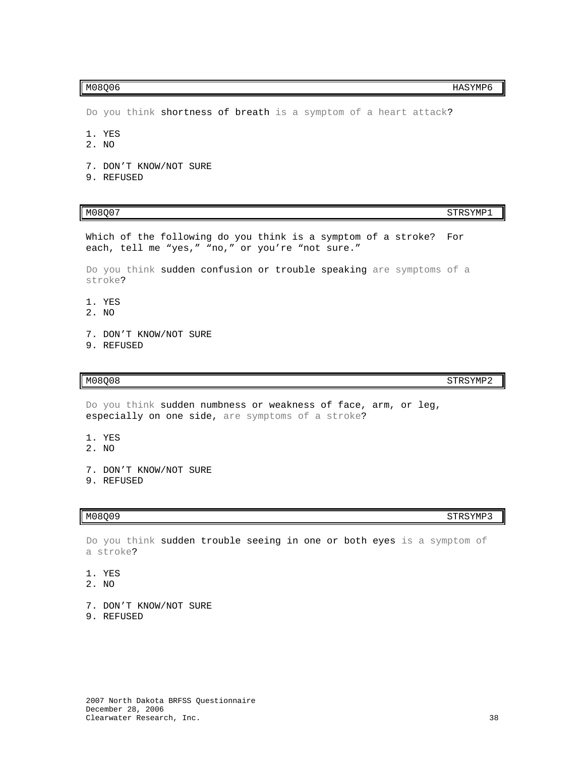$M08Q06$  HASYMP6

Do you think shortness of breath is a symptom of a heart attack?

- 1. YES
- 2. NO
- 7. DON'T KNOW/NOT SURE
- 9. REFUSED

M08Q07 STRSYMP1

Which of the following do you think is a symptom of a stroke? For each, tell me "yes," "no," or you're "not sure."

Do you think sudden confusion or trouble speaking are symptoms of a stroke?

- 1. YES
- 2. NO
- 7. DON'T KNOW/NOT SURE
- 9. REFUSED

### M08Q08 STRSYMP2

Do you think sudden numbness or weakness of face, arm, or leg, especially on one side, are symptoms of a stroke?

- 1. YES
- 2. NO
- 7. DON'T KNOW/NOT SURE
- 9. REFUSED

 $M08Q09$  STRSYMP3

Do you think sudden trouble seeing in one or both eyes is a symptom of a stroke?

- 1. YES
- 2. NO
- 7. DON'T KNOW/NOT SURE
- 9. REFUSED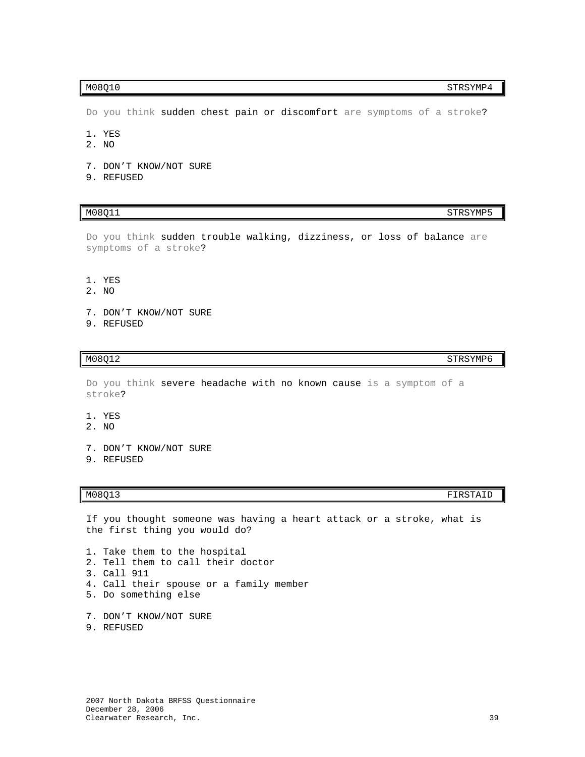Do you think sudden chest pain or discomfort are symptoms of a stroke?

- 1. YES
- 2. NO
- 7. DON'T KNOW/NOT SURE
- 9. REFUSED

### M08Q11 STRSYMP5

Do you think sudden trouble walking, dizziness, or loss of balance are symptoms of a stroke?

- 1. YES
- 2. NO
- 7. DON'T KNOW/NOT SURE
- 9. REFUSED

### M08Q12 STRSYMP6

Do you think severe headache with no known cause is a symptom of a stroke?

- 1. YES
- 2. NO
- 7. DON'T KNOW/NOT SURE
- 9. REFUSED

### M08Q13 FIRSTAID

If you thought someone was having a heart attack or a stroke, what is the first thing you would do?

1. Take them to the hospital 2. Tell them to call their doctor 3. Call 911 4. Call their spouse or a family member 5. Do something else

- 7. DON'T KNOW/NOT SURE
- 9. REFUSED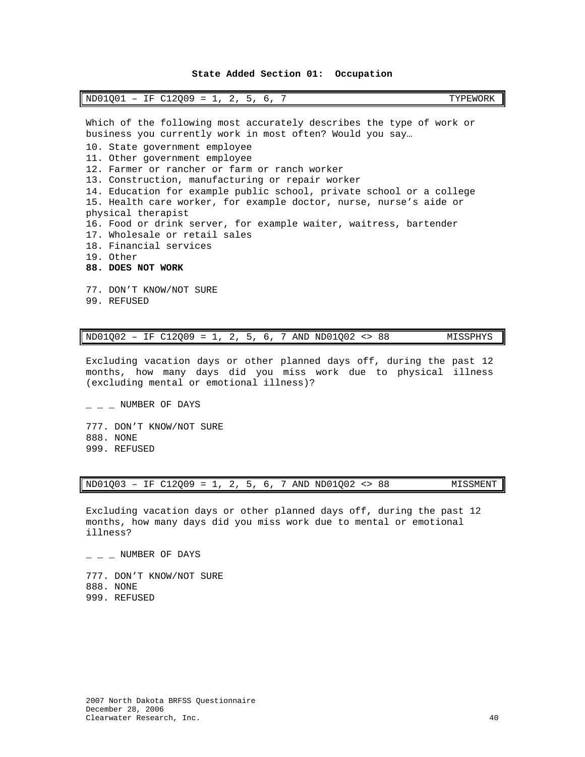### **State Added Section 01: Occupation**

<span id="page-41-0"></span>

| ND01Q01<br>12009<br>$\sim$<br>工臣<br>$\overline{\phantom{0}}$<br>$\overline{\phantom{0}}$<br>$\overline{\phantom{0}}$<br>╰ - -<br>-- -<br>- | TYPEWORK |
|--------------------------------------------------------------------------------------------------------------------------------------------|----------|
|--------------------------------------------------------------------------------------------------------------------------------------------|----------|

Which of the following most accurately describes the type of work or business you currently work in most often? Would you say… 10. State government employee 11. Other government employee 12. Farmer or rancher or farm or ranch worker 13. Construction, manufacturing or repair worker 14. Education for example public school, private school or a college 15. Health care worker, for example doctor, nurse, nurse's aide or physical therapist 16. Food or drink server, for example waiter, waitress, bartender 17. Wholesale or retail sales 18. Financial services 19. Other **88. DOES NOT WORK** 77. DON'T KNOW/NOT SURE

99. REFUSED

| $ND01Q02 - IF C12Q09 = 1, 2, 5, 6, 7 AND ND01Q02 < > 88$ |  |  |  |  |  |  |  |  |  |  |  |  | MISSPHYS |
|----------------------------------------------------------|--|--|--|--|--|--|--|--|--|--|--|--|----------|
|----------------------------------------------------------|--|--|--|--|--|--|--|--|--|--|--|--|----------|

Excluding vacation days or other planned days off, during the past 12 months, how many days did you miss work due to physical illness (excluding mental or emotional illness)?

777. DON'T KNOW/NOT SURE 888. NONE 999. REFUSED

 $-$  NUMBER OF DAYS

ND01Q03 – IF C12Q09 = 1, 2, 5, 6, 7 AND ND01Q02 <> 88 MISSMENT

Excluding vacation days or other planned days off, during the past 12 months, how many days did you miss work due to mental or emotional illness?

 $-$  NUMBER OF DAYS

777. DON'T KNOW/NOT SURE 888. NONE 999. REFUSED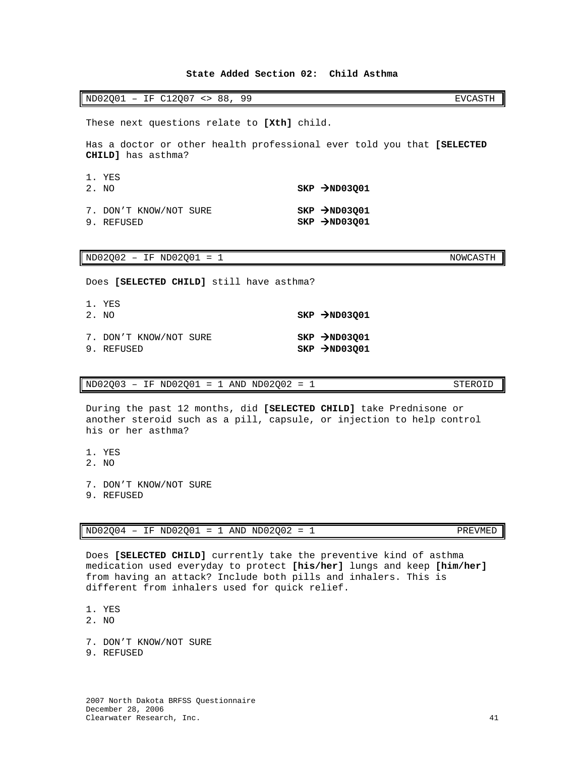# 2007 North Dakota BRFSS Questionnaire December 28, 2006

### **State Added Section 02: Child Asthma**

<span id="page-42-0"></span>

| ND02Q01<br>$\overline{\phantom{a}}$ | <b></b> | IF C12007 | $\leq$ | 88 | Q Q |  | EVCASTH |
|-------------------------------------|---------|-----------|--------|----|-----|--|---------|
|-------------------------------------|---------|-----------|--------|----|-----|--|---------|

These next questions relate to **[Xth]** child.

Has a doctor or other health professional ever told you that **[SELECTED CHILD]** has asthma?

| 1. YES<br>2. NO                      | $SKP \rightarrow ND03Q01$                                  |
|--------------------------------------|------------------------------------------------------------|
| 7. DON'T KNOW/NOT SURE<br>9. REFUSED | $SKP$ $\rightarrow$ ND03Q01<br>$SKP$ $\rightarrow$ ND03001 |

ND02Q02 - IF ND02Q01 = 1 NOWCASTH

Does **[SELECTED CHILD]** still have asthma?

| 1. YES<br>2. NO                      | $SKP$ $\rightarrow$ ND03001                                |
|--------------------------------------|------------------------------------------------------------|
| 7. DON'T KNOW/NOT SURE<br>9. REFUSED | $SKP$ $\rightarrow$ ND03Q01<br>$SKP$ $\rightarrow$ ND03001 |

 $ND02Q03 - IF ND02Q01 = 1 AND ND02Q02 = 1$  STEROID

During the past 12 months, did **[SELECTED CHILD]** take Prednisone or another steroid such as a pill, capsule, or injection to help control his or her asthma?

- 1. YES
- 2. NO
- 7. DON'T KNOW/NOT SURE
- 9. REFUSED

 $ND02Q04 - IF NDO2Q01 = 1 AND NDO2Q02 = 1$  PREVMED

Does **[SELECTED CHILD]** currently take the preventive kind of asthma medication used everyday to protect **[his/her]** lungs and keep **[him/her]** from having an attack? Include both pills and inhalers. This is different from inhalers used for quick relief.

1. YES

2. NO

- 7. DON'T KNOW/NOT SURE
- 9. REFUSED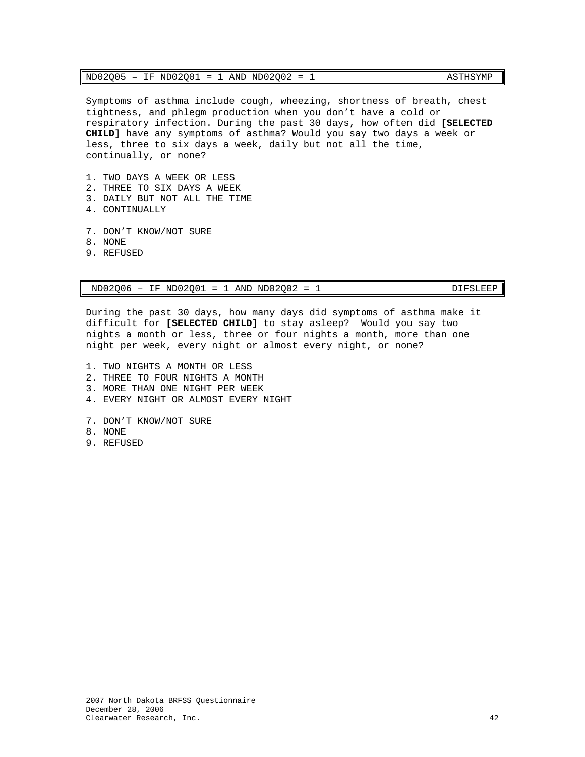| ND02001<br>ND02Q05<br>ND02002<br>ASTHSYMP<br>AND<br>ΙF<br>$=$<br>$\overline{\phantom{0}}$ |  |
|-------------------------------------------------------------------------------------------|--|
|-------------------------------------------------------------------------------------------|--|

Symptoms of asthma include cough, wheezing, shortness of breath, chest tightness, and phlegm production when you don't have a cold or respiratory infection. During the past 30 days, how often did **[SELECTED CHILD]** have any symptoms of asthma? Would you say two days a week or less, three to six days a week, daily but not all the time, continually, or none?

- 1. TWO DAYS A WEEK OR LESS
- 2. THREE TO SIX DAYS A WEEK
- 3. DAILY BUT NOT ALL THE TIME
- 4. CONTINUALLY
- 7. DON'T KNOW/NOT SURE
- 8. NONE
- 9. REFUSED

ND02Q06 – IF ND02Q01 = 1 AND ND02Q02 = 1 DIFSLEEP

During the past 30 days, how many days did symptoms of asthma make it difficult for **[SELECTED CHILD]** to stay asleep? Would you say two nights a month or less, three or four nights a month, more than one night per week, every night or almost every night, or none?

- 1. TWO NIGHTS A MONTH OR LESS
- 2. THREE TO FOUR NIGHTS A MONTH
- 3. MORE THAN ONE NIGHT PER WEEK
- 4. EVERY NIGHT OR ALMOST EVERY NIGHT
- 7. DON'T KNOW/NOT SURE
- 8. NONE
- 9. REFUSED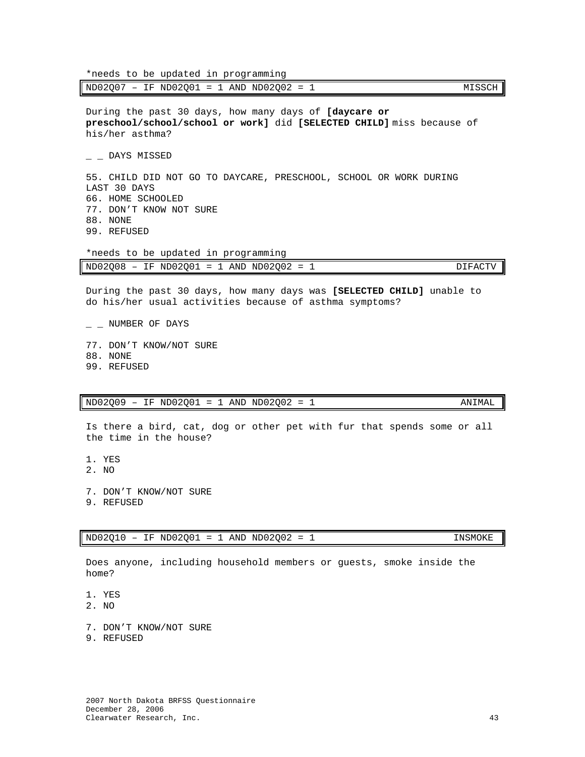ND02007 - IF ND02001 = 1 AND ND02002 = 1 MISSCH During the past 30 days, how many days of **[daycare or preschool/school/school or work]** did **[SELECTED CHILD]** miss because of his/her asthma?  $\_$   $\_$  DAYS MISSED 55. CHILD DID NOT GO TO DAYCARE, PRESCHOOL, SCHOOL OR WORK DURING LAST 30 DAYS 66. HOME SCHOOLED 77. DON'T KNOW NOT SURE 88. NONE 99. REFUSED \*needs to be updated in programming ND02Q08 – IF ND02Q01 = 1 AND ND02Q02 = 1 DIFACTV During the past 30 days, how many days was **[SELECTED CHILD]** unable to do his/her usual activities because of asthma symptoms?  $\_$   $\_$  NUMBER OF DAYS

77. DON'T KNOW/NOT SURE 88. NONE 99. REFUSED

 $ND02Q09 - IF ND02Q01 = 1 AND ND02Q02 = 1$  ANIMAL

\*needs to be updated in programming

Is there a bird, cat, dog or other pet with fur that spends some or all the time in the house?

1. YES

2. NO

7. DON'T KNOW/NOT SURE

9. REFUSED

 $ND02Q10 - IF NDO2Q01 = 1 AND NDO2Q02 = 1$  INSMOKE

Does anyone, including household members or guests, smoke inside the home?

1. YES

2. NO

- 7. DON'T KNOW/NOT SURE
- 9. REFUSED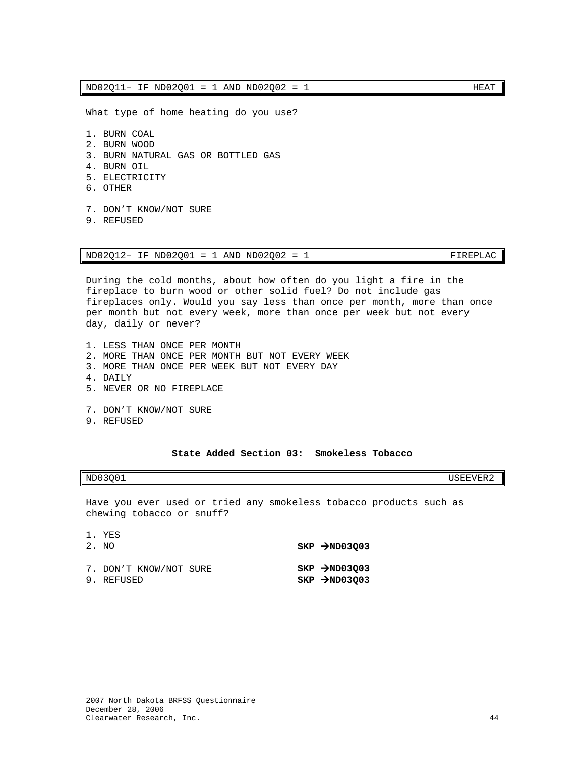$ND02O11 - IF NDO2O01 = 1 AND NDO2O02 = 1$  HEAT

What type of home heating do you use?

- 1. BURN COAL 2. BURN WOOD 3. BURN NATURAL GAS OR BOTTLED GAS 4. BURN OIL 5. ELECTRICITY 6. OTHER 7. DON'T KNOW/NOT SURE
- 9. REFUSED

ND02Q12– IF ND02Q01 = 1 AND ND02Q02 = 1 FIREPLAC

During the cold months, about how often do you light a fire in the fireplace to burn wood or other solid fuel? Do not include gas fireplaces only. Would you say less than once per month, more than once per month but not every week, more than once per week but not every day, daily or never?

- 1. LESS THAN ONCE PER MONTH 2. MORE THAN ONCE PER MONTH BUT NOT EVERY WEEK 3. MORE THAN ONCE PER WEEK BUT NOT EVERY DAY 4. DAILY 5. NEVER OR NO FIREPLACE 7. DON'T KNOW/NOT SURE
- 9. REFUSED

### **State Added Section 03: Smokeless Tobacco**

<span id="page-45-0"></span>

Have you ever used or tried any smokeless tobacco products such as chewing tobacco or snuff?

| 1. YES<br>2. NO                      | $SKP$ >ND03003                                |
|--------------------------------------|-----------------------------------------------|
| 7. DON'T KNOW/NOT SURE<br>9. REFUSED | $SKP$ >ND03003<br>$SKP$ $\rightarrow$ ND03Q03 |

ND03Q01 USEEVER2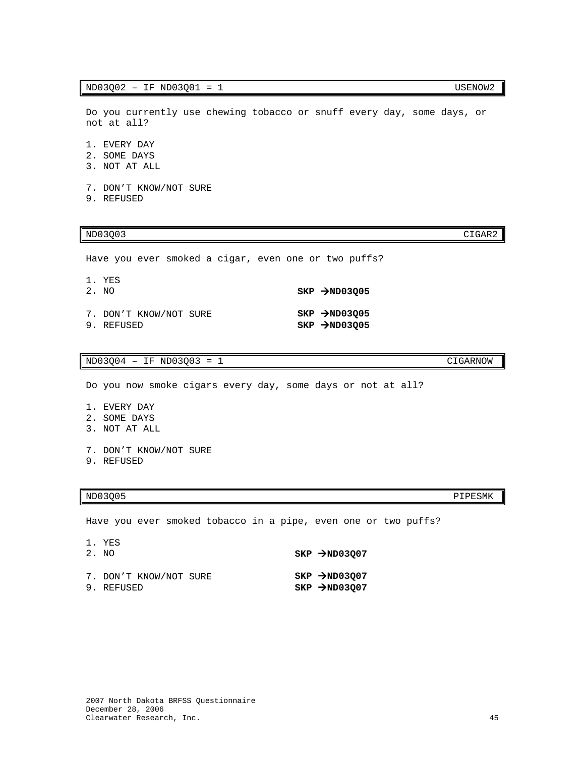### $ND03Q02 - IF NDO3Q01 = 1$  USENOW2

Do you currently use chewing tobacco or snuff every day, some days, or not at all?

- 1. EVERY DAY
- 2. SOME DAYS
- 3. NOT AT ALL
- 7. DON'T KNOW/NOT SURE
- 9. REFUSED

### $ND03Q03$   $CIGAR2$

Have you ever smoked a cigar, even one or two puffs?

| 1. YES<br>2. NO                      | $SKP$ >ND03005                                             |
|--------------------------------------|------------------------------------------------------------|
| 7. DON'T KNOW/NOT SURE<br>9. REFUSED | $SKP$ $\rightarrow$ ND03005<br>$SKP$ $\rightarrow$ ND03005 |

### ND03Q04 – IF ND03Q03 = 1 CIGARNOW

Do you now smoke cigars every day, some days or not at all?

- 1. EVERY DAY
- 2. SOME DAYS
- 3. NOT AT ALL
- 7. DON'T KNOW/NOT SURE
- 9. REFUSED

### $ND03Q05$  PIPESMK

Have you ever smoked tobacco in a pipe, even one or two puffs?

| 1. YES<br>2. NO                      | $SKP$ $\rightarrow$ ND03007                                |
|--------------------------------------|------------------------------------------------------------|
| 7. DON'T KNOW/NOT SURE<br>9. REFUSED | $SKP$ $\rightarrow$ ND03007<br>$SKP$ $\rightarrow$ ND03007 |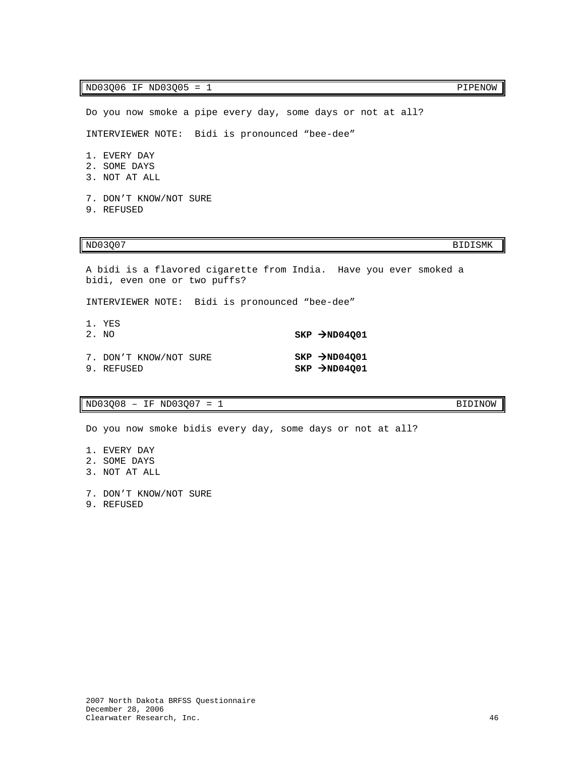Do you now smoke a pipe every day, some days or not at all? INTERVIEWER NOTE: Bidi is pronounced "bee-dee"

1. EVERY DAY

- 2. SOME DAYS
- 3. NOT AT ALL
- 7. DON'T KNOW/NOT SURE
- 9. REFUSED

### $ND03Q07$  BIDISMK

A bidi is a flavored cigarette from India. Have you ever smoked a bidi, even one or two puffs?

INTERVIEWER NOTE: Bidi is pronounced "bee-dee"

| 1. YES<br>2. NO                      | $SKP$ $\rightarrow$ ND04001                   |
|--------------------------------------|-----------------------------------------------|
| 7. DON'T KNOW/NOT SURE<br>9. REFUSED | $SKP$ >ND04001<br>$SKP$ $\rightarrow$ ND04Q01 |

 $ND03Q08 - IF NDO3Q07 = 1$  BIDINOW

Do you now smoke bidis every day, some days or not at all?

- 1. EVERY DAY 2. SOME DAYS
- 3. NOT AT ALL
- 7. DON'T KNOW/NOT SURE
- 9. REFUSED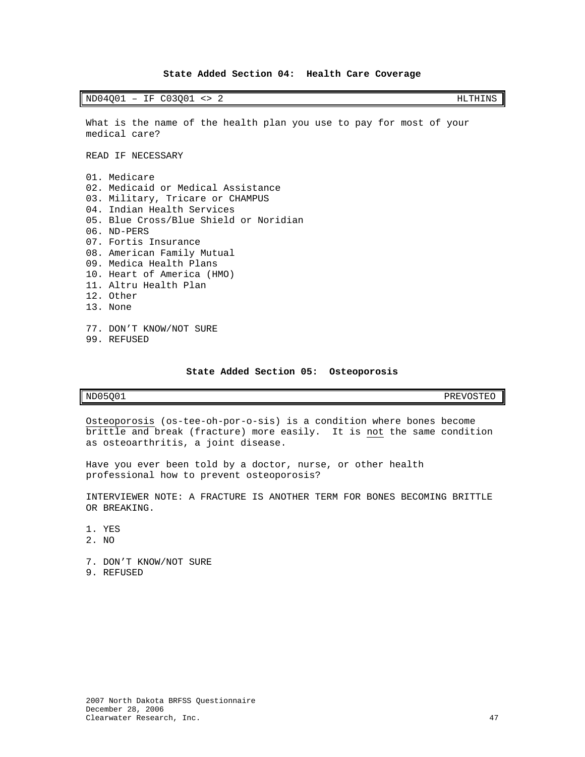### **State Added Section 04: Health Care Coverage**

<span id="page-48-0"></span>ND04Q01 – IF C03Q01 <> 2 HLTHINS

What is the name of the health plan you use to pay for most of your medical care?

READ IF NECESSARY

- 01. Medicare 02. Medicaid or Medical Assistance 03. Military, Tricare or CHAMPUS 04. Indian Health Services 05. Blue Cross/Blue Shield or Noridian 06. ND-PERS 07. Fortis Insurance 08. American Family Mutual 09. Medica Health Plans 10. Heart of America (HMO) 11. Altru Health Plan 12. Other 13. None 77. DON'T KNOW/NOT SURE
- 99. REFUSED

### **State Added Section 05: Osteoporosis**

<span id="page-48-1"></span>ND05Q01 PREVOSTEO

Osteoporosis (os-tee-oh-por-o-sis) is a condition where bones become brittle and break (fracture) more easily. It is not the same condition as osteoarthritis, a joint disease.

Have you ever been told by a doctor, nurse, or other health professional how to prevent osteoporosis?

INTERVIEWER NOTE: A FRACTURE IS ANOTHER TERM FOR BONES BECOMING BRITTLE OR BREAKING.

- 1. YES
- 2. NO
- 7. DON'T KNOW/NOT SURE
- 9. REFUSED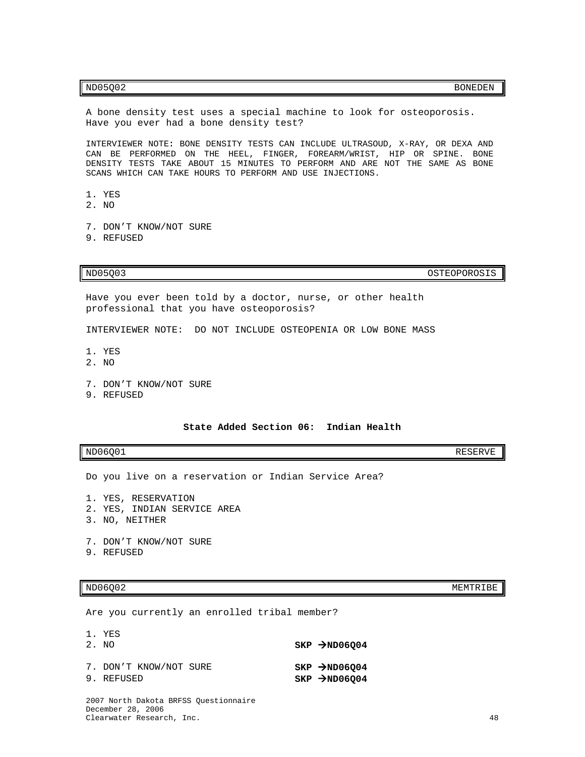### $ND05Q02$  BONEDEN

A bone density test uses a special machine to look for osteoporosis. Have you ever had a bone density test?

INTERVIEWER NOTE**:** BONE DENSITY TESTS CAN INCLUDE ULTRASOUD, X-RAY, OR DEXA AND CAN BE PERFORMED ON THE HEEL, FINGER, FOREARM/WRIST, HIP OR SPINE. BONE DENSITY TESTS TAKE ABOUT 15 MINUTES TO PERFORM AND ARE NOT THE SAME AS BONE SCANS WHICH CAN TAKE HOURS TO PERFORM AND USE INJECTIONS.

- 1. YES
- 2. NO
- 7. DON'T KNOW/NOT SURE
- 9. REFUSED

ND05Q03 OSTEOPOROSIS

Have you ever been told by a doctor, nurse, or other health professional that you have osteoporosis?

INTERVIEWER NOTE: DO NOT INCLUDE OSTEOPENIA OR LOW BONE MASS

- 1. YES
- 2. NO
- 7. DON'T KNOW/NOT SURE
- 9. REFUSED

### **State Added Section 06: Indian Health**

<span id="page-49-0"></span> $ND06Q01$  RESERVE

Do you live on a reservation or Indian Service Area?

- 1. YES, RESERVATION
- 2. YES, INDIAN SERVICE AREA
- 3. NO, NEITHER
- 7. DON'T KNOW/NOT SURE
- 9. REFUSED

### ND06Q02 MEMTRIBE

Are you currently an enrolled tribal member?

| 1. YES                               |                                                          |
|--------------------------------------|----------------------------------------------------------|
| 2. NO                                | $SKP$ $\rightarrow$ ND06004                              |
| 7. DON'T KNOW/NOT SURE<br>9. REFUSED | $SKP$ $\rightarrow$ ND06004<br>$SKP \rightarrow ND06004$ |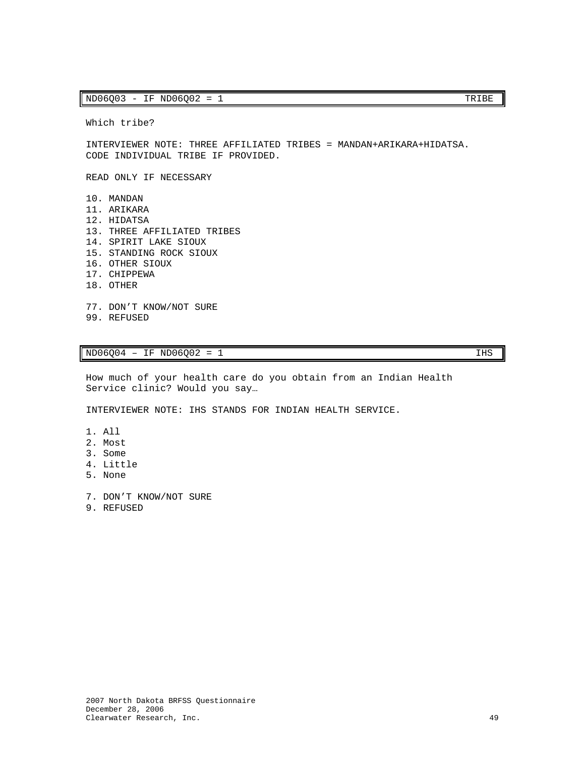### $ND06Q03 - IF ND06Q02 = 1$  TRIBE

Which tribe?

INTERVIEWER NOTE: THREE AFFILIATED TRIBES = MANDAN+ARIKARA+HIDATSA. CODE INDIVIDUAL TRIBE IF PROVIDED.

READ ONLY IF NECESSARY

- 10. MANDAN 11. ARIKARA 12. HIDATSA 13. THREE AFFILIATED TRIBES 14. SPIRIT LAKE SIOUX 15. STANDING ROCK SIOUX 16. OTHER SIOUX 17. CHIPPEWA 18. OTHER 77. DON'T KNOW/NOT SURE
- 99. REFUSED

 $ND06004 - IF NDO6002 = 1$  IHS

How much of your health care do you obtain from an Indian Health Service clinic? Would you say…

INTERVIEWER NOTE: IHS STANDS FOR INDIAN HEALTH SERVICE.

- 1. All
- 2. Most
- 3. Some
- 4. Little
- 5. None
- 7. DON'T KNOW/NOT SURE
- 9. REFUSED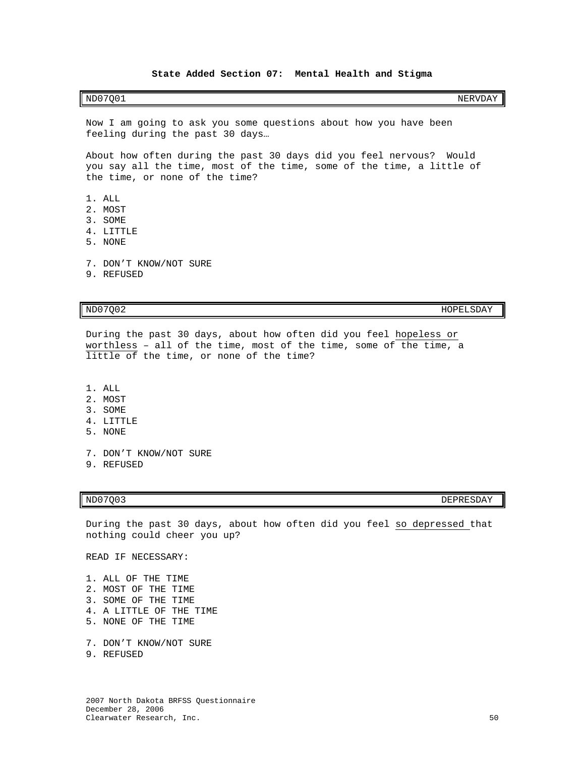### **State Added Section 07: Mental Health and Stigma**

### <span id="page-51-0"></span> $N$ D $07Q01$  NERVDAY

Now I am going to ask you some questions about how you have been feeling during the past 30 days…

About how often during the past 30 days did you feel nervous? Would you say all the time, most of the time, some of the time, a little of the time, or none of the time?

- 1. ALL
- 2. MOST
- 3. SOME
- 4. LITTLE
- 5. NONE
- 7. DON'T KNOW/NOT SURE
- 9. REFUSED

ND07Q02 HOPELSDAY

During the past 30 days, about how often did you feel hopeless or worthless – all of the time, most of the time, some of the time, a little of the time, or none of the time?

- 1. ALL
- 2. MOST
- 3. SOME
- 4. LITTLE
- 5. NONE
- 7. DON'T KNOW/NOT SURE
- 9. REFUSED

ND07Q03 DEPRESDAY

During the past 30 days, about how often did you feel so depressed that nothing could cheer you up?

READ IF NECESSARY:

1. ALL OF THE TIME

- 2. MOST OF THE TIME
- 3. SOME OF THE TIME
- 4. A LITTLE OF THE TIME
- 5. NONE OF THE TIME
- 7. DON'T KNOW/NOT SURE
- 9. REFUSED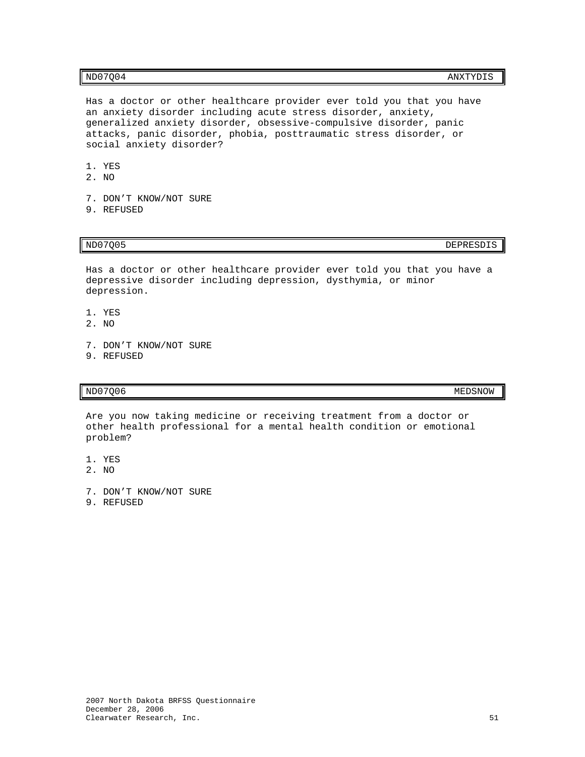Has a doctor or other healthcare provider ever told you that you have an anxiety disorder including acute stress disorder, anxiety, generalized anxiety disorder, obsessive-compulsive disorder, panic attacks, panic disorder, phobia, posttraumatic stress disorder, or social anxiety disorder?

- 1. YES
- 2. NO
- 7. DON'T KNOW/NOT SURE
- 9. REFUSED

ND07Q05 DEPRESDIS

Has a doctor or other healthcare provider ever told you that you have a depressive disorder including depression, dysthymia, or minor depression.

- 1. YES
- 2. NO
- 7. DON'T KNOW/NOT SURE
- 9. REFUSED

 $MD07Q06$  MEDSNOW

Are you now taking medicine or receiving treatment from a doctor or other health professional for a mental health condition or emotional problem?

- 1. YES
- 2. NO
- 7. DON'T KNOW/NOT SURE
- 9. REFUSED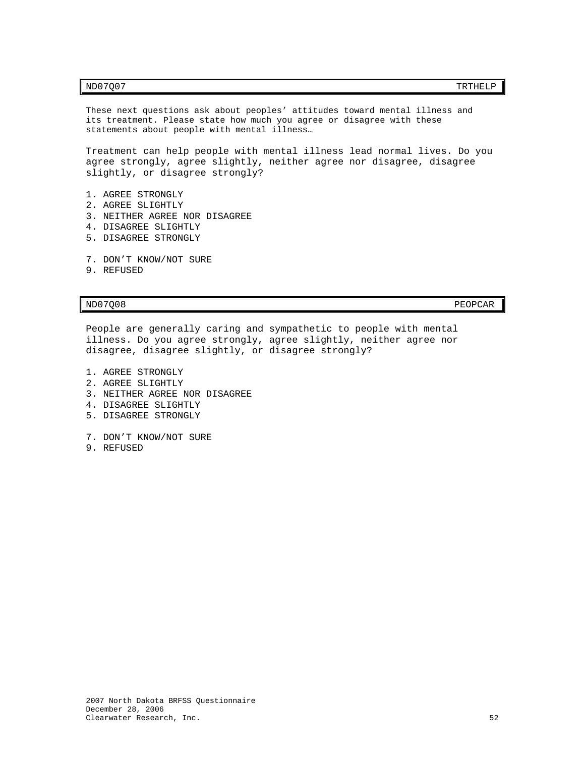These next questions ask about peoples' attitudes toward mental illness and its treatment. Please state how much you agree or disagree with these statements about people with mental illness…

Treatment can help people with mental illness lead normal lives. Do you agree strongly, agree slightly, neither agree nor disagree, disagree slightly, or disagree strongly?

- 1. AGREE STRONGLY
- 2. AGREE SLIGHTLY
- 3. NEITHER AGREE NOR DISAGREE
- 4. DISAGREE SLIGHTLY
- 5. DISAGREE STRONGLY
- 7. DON'T KNOW/NOT SURE
- 9. REFUSED

ND07Q08 PEOPCAR PEOPCAR PEOPCAR PEOPCAR PEOPCAR PEOPCAR PEOPCAR PEOPCAR PEOPCAR PEOPCAR PEOPCAR PEOPCAR PEOPCAR

People are generally caring and sympathetic to people with mental illness. Do you agree strongly, agree slightly, neither agree nor disagree, disagree slightly, or disagree strongly?

- 1. AGREE STRONGLY
- 2. AGREE SLIGHTLY
- 3. NEITHER AGREE NOR DISAGREE
- 4. DISAGREE SLIGHTLY
- 5. DISAGREE STRONGLY
- 7. DON'T KNOW/NOT SURE
- 9. REFUSED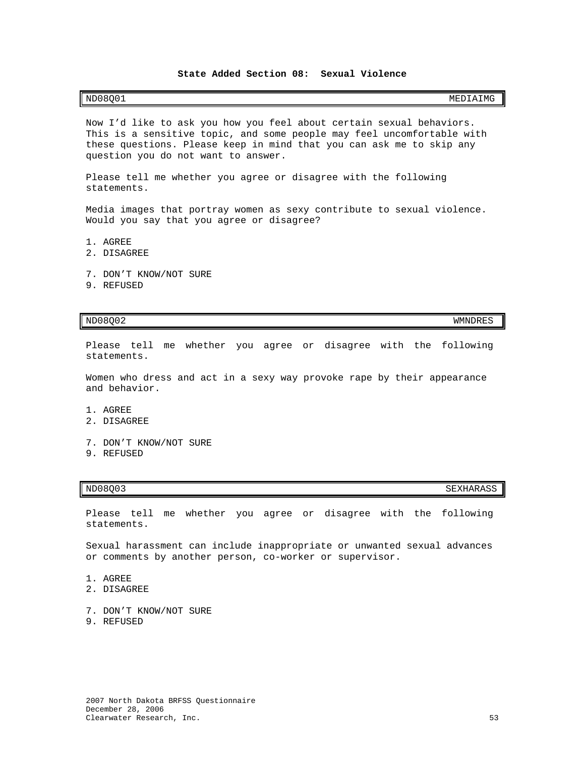### **State Added Section 08: Sexual Violence**

<span id="page-54-0"></span>Now I'd like to ask you how you feel about certain sexual behaviors. This is a sensitive topic, and some people may feel uncomfortable with these questions. Please keep in mind that you can ask me to skip any question you do not want to answer.

Please tell me whether you agree or disagree with the following statements.

Media images that portray women as sexy contribute to sexual violence. Would you say that you agree or disagree?

- 1. AGREE
- 2. DISAGREE
- 7. DON'T KNOW/NOT SURE
- 9. REFUSED

### ND08Q02 WMNDRES

Please tell me whether you agree or disagree with the following statements.

Women who dress and act in a sexy way provoke rape by their appearance and behavior.

- 1. AGREE
- 2. DISAGREE
- 7. DON'T KNOW/NOT SURE
- 9. REFUSED

ND08Q03 SEXHARASS SEXHARASS SEXHARASS SEXHARASS SEXHARASS SEXHARASS SEXHARASS SEXHARASS SEXHARASS SEXHARASS SE

Please tell me whether you agree or disagree with the following statements.

Sexual harassment can include inappropriate or unwanted sexual advances or comments by another person, co-worker or supervisor.

- 1. AGREE
- 2. DISAGREE
- 7. DON'T KNOW/NOT SURE
- 9. REFUSED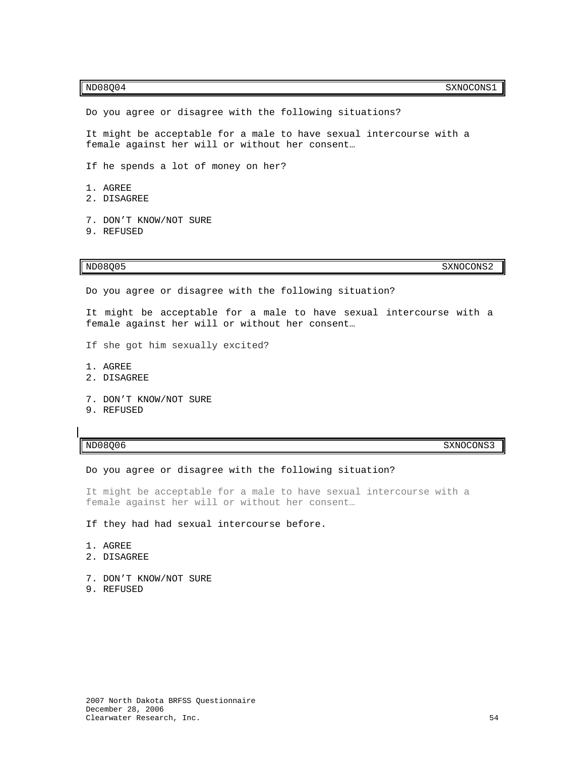Do you agree or disagree with the following situations? It might be acceptable for a male to have sexual intercourse with a female against her will or without her consent… If he spends a lot of money on her? 1. AGREE 2. DISAGREE 7. DON'T KNOW/NOT SURE 9. REFUSED

 $ND08Q05$  SXNOCONS2

Do you agree or disagree with the following situation?

It might be acceptable for a male to have sexual intercourse with a female against her will or without her consent…

- If she got him sexually excited?
- 1. AGREE
- 2. DISAGREE
- 7. DON'T KNOW/NOT SURE
- 9. REFUSED

ND08Q06 SXNOCONS3

Do you agree or disagree with the following situation?

It might be acceptable for a male to have sexual intercourse with a female against her will or without her consent…

If they had had sexual intercourse before.

- 1. AGREE
- 2. DISAGREE
- 7. DON'T KNOW/NOT SURE
- 9. REFUSED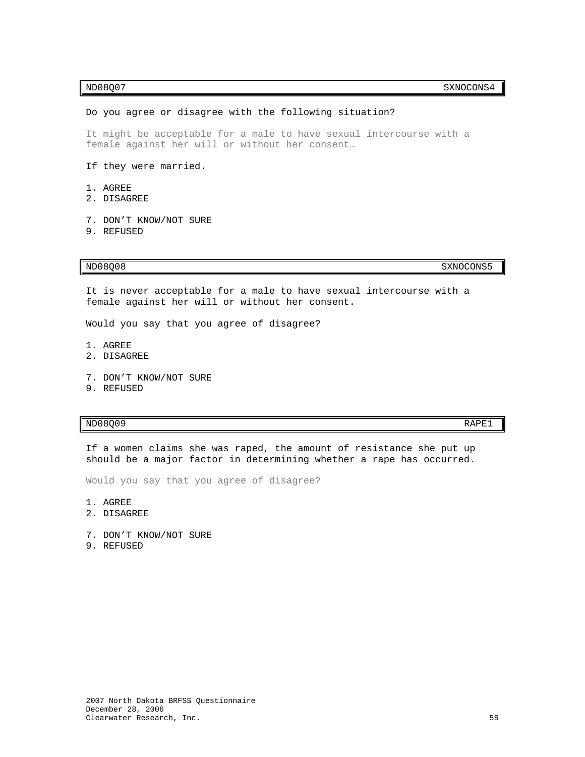### $ND08Q07$  SXNOCONS4

### Do you agree or disagree with the following situation?

It might be acceptable for a male to have sexual intercourse with a female against her will or without her consent…

- If they were married.
- 1. AGREE
- 2. DISAGREE
- 7. DON'T KNOW/NOT SURE 9. REFUSED

ND08Q08 SXNOCONS5

It is never acceptable for a male to have sexual intercourse with a female against her will or without her consent.

Would you say that you agree of disagree?

- 1. AGREE
- 2. DISAGREE
- 7. DON'T KNOW/NOT SURE
- 9. REFUSED

### $ND08Q09$  RAPE1

If a women claims she was raped, the amount of resistance she put up should be a major factor in determining whether a rape has occurred.

Would you say that you agree of disagree?

- 1. AGREE
- 2. DISAGREE
- 7. DON'T KNOW/NOT SURE
- 9. REFUSED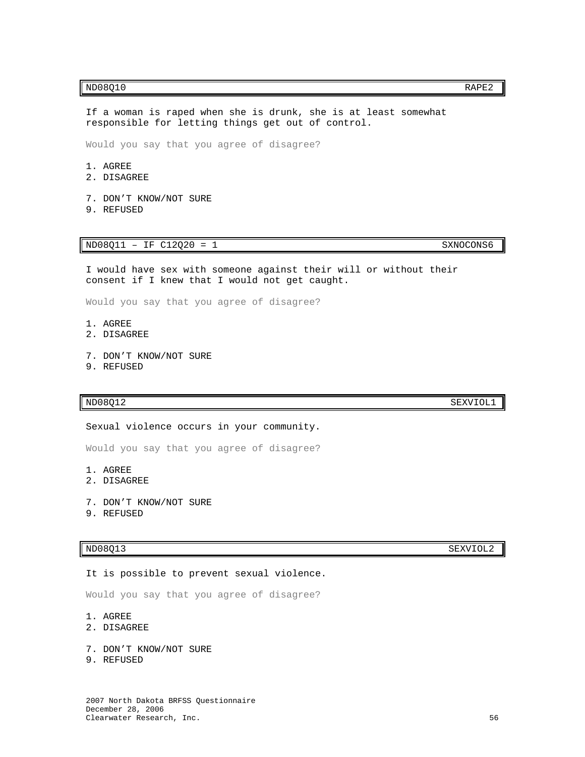### $ND08Q10$  RAPE2

If a woman is raped when she is drunk, she is at least somewhat responsible for letting things get out of control.

Would you say that you agree of disagree?

- 1. AGREE
- 2. DISAGREE
- 7. DON'T KNOW/NOT SURE
- 9. REFUSED

ND08Q11 - IF C12Q20 = 1 SXNOCONS6

I would have sex with someone against their will or without their consent if I knew that I would not get caught.

Would you say that you agree of disagree?

- 1. AGREE
- 2. DISAGREE
- 7. DON'T KNOW/NOT SURE
- 9. REFUSED

### ND08Q12 SEXVIOL1

Sexual violence occurs in your community.

Would you say that you agree of disagree?

- 1. AGREE
- 2. DISAGREE
- 7. DON'T KNOW/NOT SURE
- 9. REFUSED

### ND08Q13 SEXVIOL2

### It is possible to prevent sexual violence.

Would you say that you agree of disagree?

- 1. AGREE
- 2. DISAGREE
- 7. DON'T KNOW/NOT SURE
- 9. REFUSED